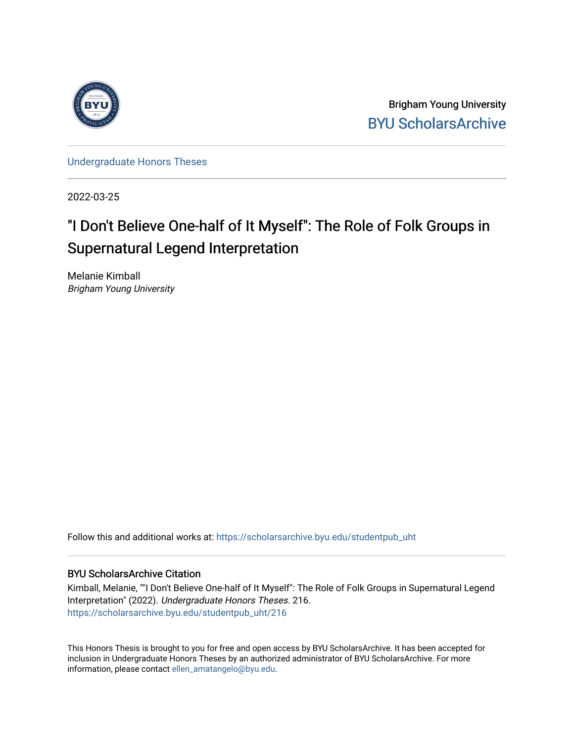

Brigham Young University [BYU ScholarsArchive](https://scholarsarchive.byu.edu/) 

[Undergraduate Honors Theses](https://scholarsarchive.byu.edu/studentpub_uht) 

2022-03-25

# "I Don't Believe One-half of It Myself": The Role of Folk Groups in Supernatural Legend Interpretation

Melanie Kimball Brigham Young University

Follow this and additional works at: [https://scholarsarchive.byu.edu/studentpub\\_uht](https://scholarsarchive.byu.edu/studentpub_uht?utm_source=scholarsarchive.byu.edu%2Fstudentpub_uht%2F216&utm_medium=PDF&utm_campaign=PDFCoverPages) 

## BYU ScholarsArchive Citation

Kimball, Melanie, ""I Don't Believe One-half of It Myself": The Role of Folk Groups in Supernatural Legend Interpretation" (2022). Undergraduate Honors Theses. 216. [https://scholarsarchive.byu.edu/studentpub\\_uht/216](https://scholarsarchive.byu.edu/studentpub_uht/216?utm_source=scholarsarchive.byu.edu%2Fstudentpub_uht%2F216&utm_medium=PDF&utm_campaign=PDFCoverPages)

This Honors Thesis is brought to you for free and open access by BYU ScholarsArchive. It has been accepted for inclusion in Undergraduate Honors Theses by an authorized administrator of BYU ScholarsArchive. For more information, please contact [ellen\\_amatangelo@byu.edu.](mailto:ellen_amatangelo@byu.edu)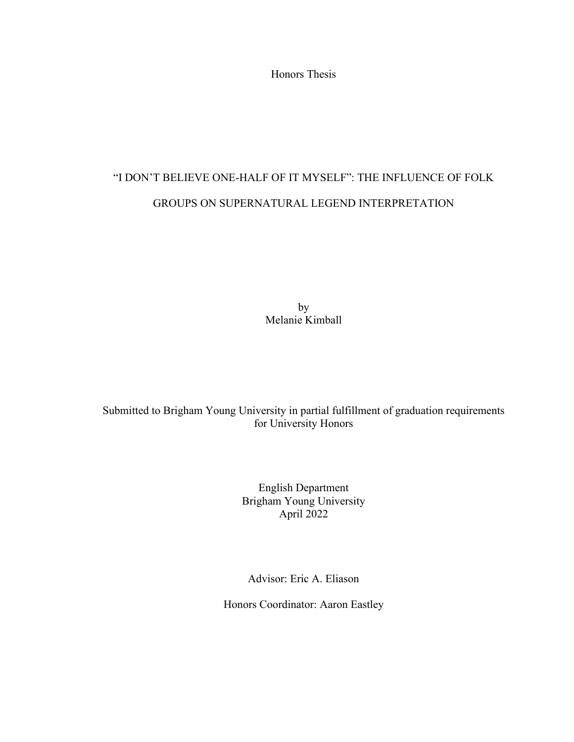Honors Thesis

# "I DON'T BELIEVE ONE-HALF OF IT MYSELF": THE INFLUENCE OF FOLK GROUPS ON SUPERNATURAL LEGEND INTERPRETATION

by Melanie Kimball

Submitted to Brigham Young University in partial fulfillment of graduation requirements for University Honors

> English Department Brigham Young University April 2022

Advisor: Eric A. Eliason

Honors Coordinator: Aaron Eastley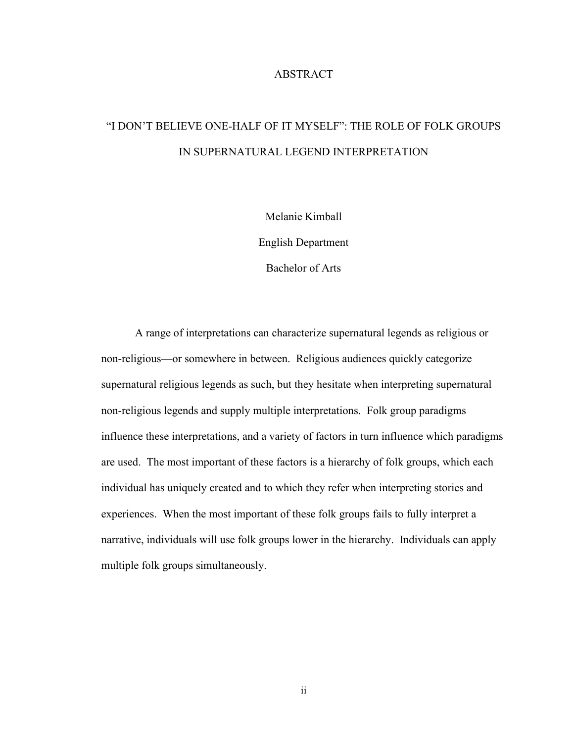#### ABSTRACT

# "I DON'T BELIEVE ONE-HALF OF IT MYSELF": THE ROLE OF FOLK GROUPS IN SUPERNATURAL LEGEND INTERPRETATION

Melanie Kimball

English Department

Bachelor of Arts

A range of interpretations can characterize supernatural legends as religious or non-religious—or somewhere in between. Religious audiences quickly categorize supernatural religious legends as such, but they hesitate when interpreting supernatural non-religious legends and supply multiple interpretations. Folk group paradigms influence these interpretations, and a variety of factors in turn influence which paradigms are used. The most important of these factors is a hierarchy of folk groups, which each individual has uniquely created and to which they refer when interpreting stories and experiences. When the most important of these folk groups fails to fully interpret a narrative, individuals will use folk groups lower in the hierarchy. Individuals can apply multiple folk groups simultaneously.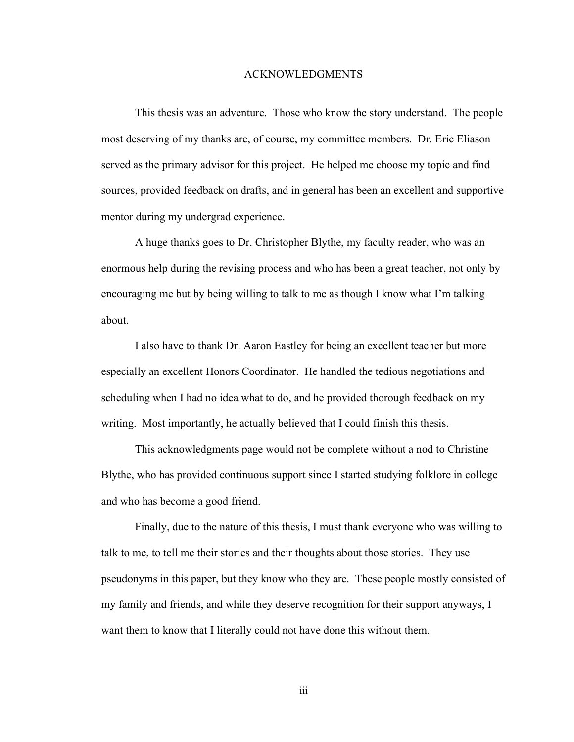#### ACKNOWLEDGMENTS

This thesis was an adventure. Those who know the story understand. The people most deserving of my thanks are, of course, my committee members. Dr. Eric Eliason served as the primary advisor for this project. He helped me choose my topic and find sources, provided feedback on drafts, and in general has been an excellent and supportive mentor during my undergrad experience.

A huge thanks goes to Dr. Christopher Blythe, my faculty reader, who was an enormous help during the revising process and who has been a great teacher, not only by encouraging me but by being willing to talk to me as though I know what I'm talking about.

I also have to thank Dr. Aaron Eastley for being an excellent teacher but more especially an excellent Honors Coordinator. He handled the tedious negotiations and scheduling when I had no idea what to do, and he provided thorough feedback on my writing. Most importantly, he actually believed that I could finish this thesis.

This acknowledgments page would not be complete without a nod to Christine Blythe, who has provided continuous support since I started studying folklore in college and who has become a good friend.

Finally, due to the nature of this thesis, I must thank everyone who was willing to talk to me, to tell me their stories and their thoughts about those stories. They use pseudonyms in this paper, but they know who they are. These people mostly consisted of my family and friends, and while they deserve recognition for their support anyways, I want them to know that I literally could not have done this without them.

iii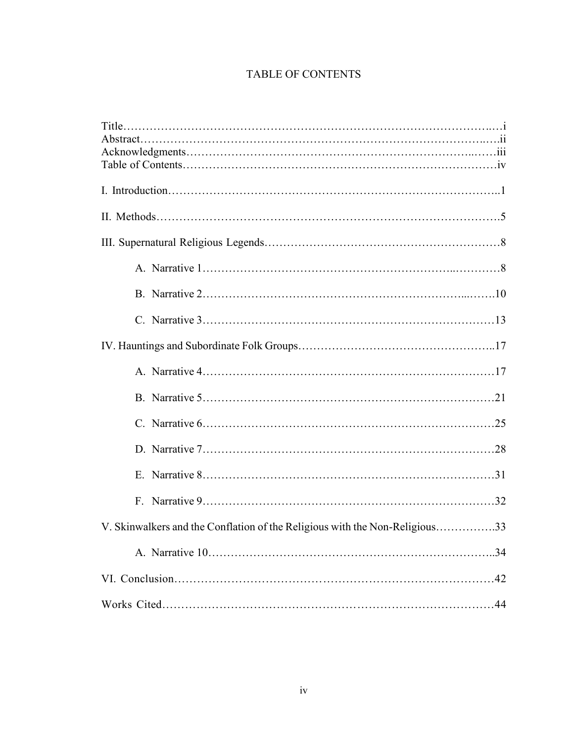# TABLE OF CONTENTS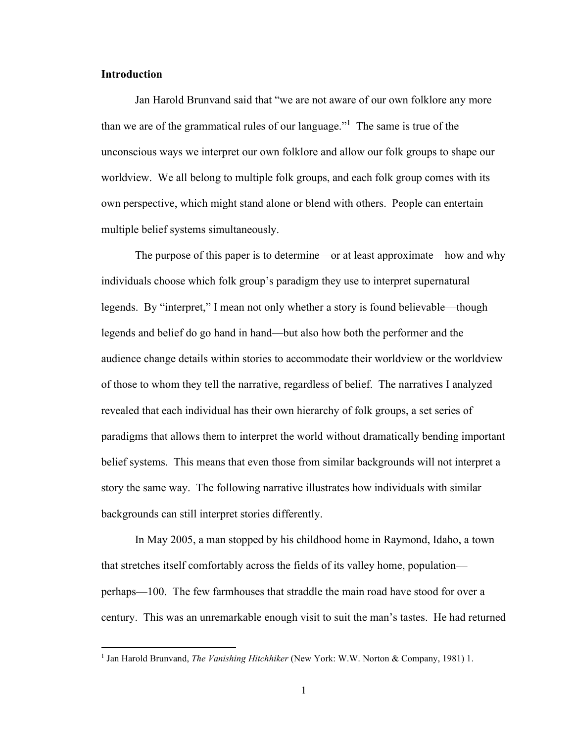#### **Introduction**

Jan Harold Brunvand said that "we are not aware of our own folklore any more than we are of the grammatical rules of our language." <sup>1</sup> The same is true of the unconscious ways we interpret our own folklore and allow our folk groups to shape our worldview. We all belong to multiple folk groups, and each folk group comes with its own perspective, which might stand alone or blend with others. People can entertain multiple belief systems simultaneously.

The purpose of this paper is to determine—or at least approximate—how and why individuals choose which folk group's paradigm they use to interpret supernatural legends. By "interpret," I mean not only whether a story is found believable—though legends and belief do go hand in hand—but also how both the performer and the audience change details within stories to accommodate their worldview or the worldview of those to whom they tell the narrative, regardless of belief. The narratives I analyzed revealed that each individual has their own hierarchy of folk groups, a set series of paradigms that allows them to interpret the world without dramatically bending important belief systems. This means that even those from similar backgrounds will not interpret a story the same way. The following narrative illustrates how individuals with similar backgrounds can still interpret stories differently.

In May 2005, a man stopped by his childhood home in Raymond, Idaho, a town that stretches itself comfortably across the fields of its valley home, population perhaps—100. The few farmhouses that straddle the main road have stood for over a century. This was an unremarkable enough visit to suit the man's tastes. He had returned

<sup>&</sup>lt;sup>1</sup> Jan Harold Brunvand, *The Vanishing Hitchhiker* (New York: W.W. Norton & Company, 1981) 1.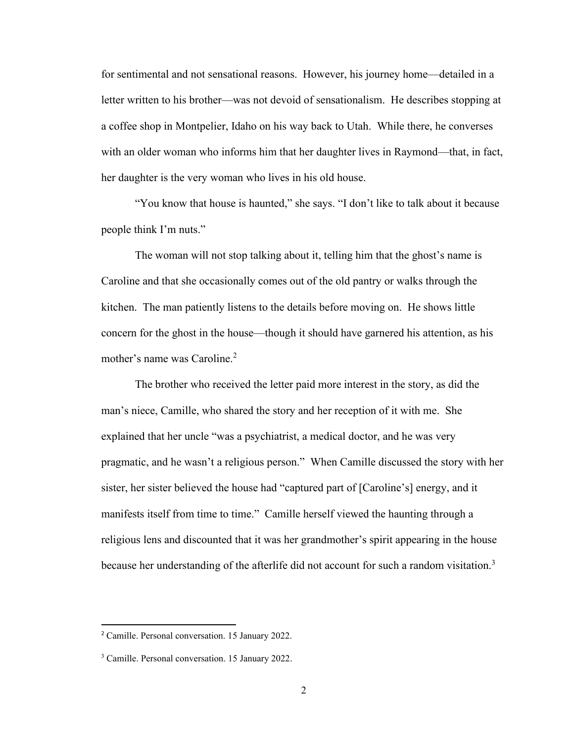for sentimental and not sensational reasons. However, his journey home—detailed in a letter written to his brother—was not devoid of sensationalism. He describes stopping at a coffee shop in Montpelier, Idaho on his way back to Utah. While there, he converses with an older woman who informs him that her daughter lives in Raymond—that, in fact, her daughter is the very woman who lives in his old house.

"You know that house is haunted," she says. "I don't like to talk about it because people think I'm nuts."

The woman will not stop talking about it, telling him that the ghost's name is Caroline and that she occasionally comes out of the old pantry or walks through the kitchen. The man patiently listens to the details before moving on. He shows little concern for the ghost in the house—though it should have garnered his attention, as his mother's name was Caroline.<sup>2</sup>

The brother who received the letter paid more interest in the story, as did the man's niece, Camille, who shared the story and her reception of it with me. She explained that her uncle "was a psychiatrist, a medical doctor, and he was very pragmatic, and he wasn't a religious person." When Camille discussed the story with her sister, her sister believed the house had "captured part of [Caroline's] energy, and it manifests itself from time to time." Camille herself viewed the haunting through a religious lens and discounted that it was her grandmother's spirit appearing in the house because her understanding of the afterlife did not account for such a random visitation.<sup>3</sup>

<sup>2</sup> Camille. Personal conversation. 15 January 2022.

<sup>3</sup> Camille. Personal conversation. 15 January 2022.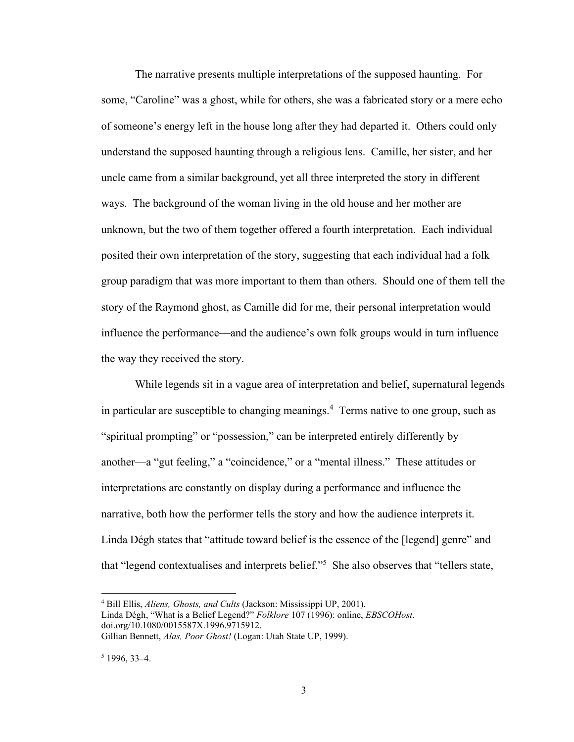The narrative presents multiple interpretations of the supposed haunting. For some, "Caroline" was a ghost, while for others, she was a fabricated story or a mere echo of someone's energy left in the house long after they had departed it. Others could only understand the supposed haunting through a religious lens. Camille, her sister, and her uncle came from a similar background, yet all three interpreted the story in different ways. The background of the woman living in the old house and her mother are unknown, but the two of them together offered a fourth interpretation. Each individual posited their own interpretation of the story, suggesting that each individual had a folk group paradigm that was more important to them than others. Should one of them tell the story of the Raymond ghost, as Camille did for me, their personal interpretation would influence the performance—and the audience's own folk groups would in turn influence the way they received the story.

While legends sit in a vague area of interpretation and belief, supernatural legends in particular are susceptible to changing meanings.<sup>4</sup> Terms native to one group, such as "spiritual prompting" or "possession," can be interpreted entirely differently by another—a "gut feeling," a "coincidence," or a "mental illness." These attitudes or interpretations are constantly on display during a performance and influence the narrative, both how the performer tells the story and how the audience interprets it. Linda Dégh states that "attitude toward belief is the essence of the [legend] genre" and that "legend contextualises and interprets belief." 5 She also observes that "tellers state,

<sup>4</sup> Bill Ellis, *Aliens, Ghosts, and Cults* (Jackson: Mississippi UP, 2001).

Linda Dégh, "What is a Belief Legend?" *Folklore* 107 (1996): online, *EBSCOHost*. doi.org/10.1080/0015587X.1996.9715912.

Gillian Bennett, *Alas, Poor Ghost!* (Logan: Utah State UP, 1999).

 $5$  1996, 33-4.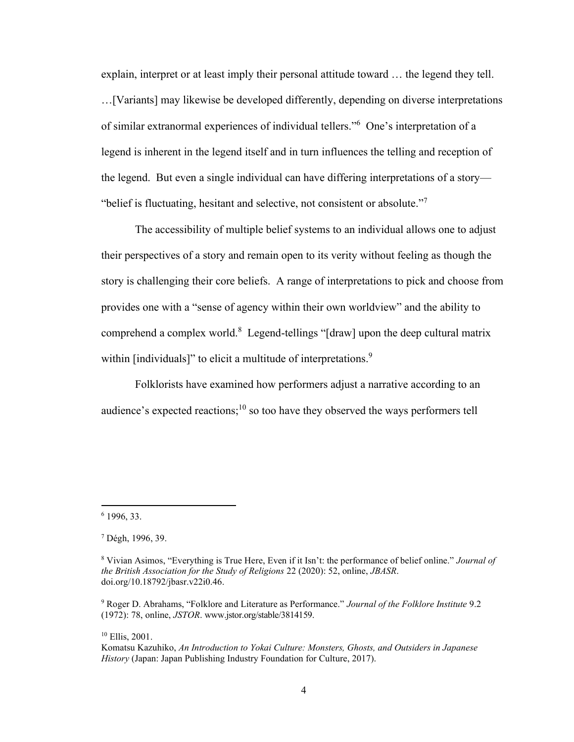explain, interpret or at least imply their personal attitude toward … the legend they tell. …[Variants] may likewise be developed differently, depending on diverse interpretations of similar extranormal experiences of individual tellers." 6 One's interpretation of a legend is inherent in the legend itself and in turn influences the telling and reception of the legend. But even a single individual can have differing interpretations of a story— "belief is fluctuating, hesitant and selective, not consistent or absolute."<sup>7</sup>

The accessibility of multiple belief systems to an individual allows one to adjust their perspectives of a story and remain open to its verity without feeling as though the story is challenging their core beliefs. A range of interpretations to pick and choose from provides one with a "sense of agency within their own worldview" and the ability to comprehend a complex world. $8$  Legend-tellings "[draw] upon the deep cultural matrix within [individuals]" to elicit a multitude of interpretations.<sup>9</sup>

Folklorists have examined how performers adjust a narrative according to an audience's expected reactions;<sup>10</sup> so too have they observed the ways performers tell

<sup>10</sup> Ellis, 2001.

<sup>6</sup> 1996, 33.

<sup>7</sup> Dégh, 1996, 39.

<sup>8</sup> Vivian Asimos, "Everything is True Here, Even if it Isn't: the performance of belief online." *Journal of the British Association for the Study of Religions* 22 (2020): 52, online, *JBASR*. doi.org/10.18792/jbasr.v22i0.46.

<sup>9</sup> Roger D. Abrahams, "Folklore and Literature as Performance." *Journal of the Folklore Institute* 9.2 (1972): 78, online, *JSTOR*. www.jstor.org/stable/3814159.

Komatsu Kazuhiko, *An Introduction to Yokai Culture: Monsters, Ghosts, and Outsiders in Japanese History* (Japan: Japan Publishing Industry Foundation for Culture, 2017).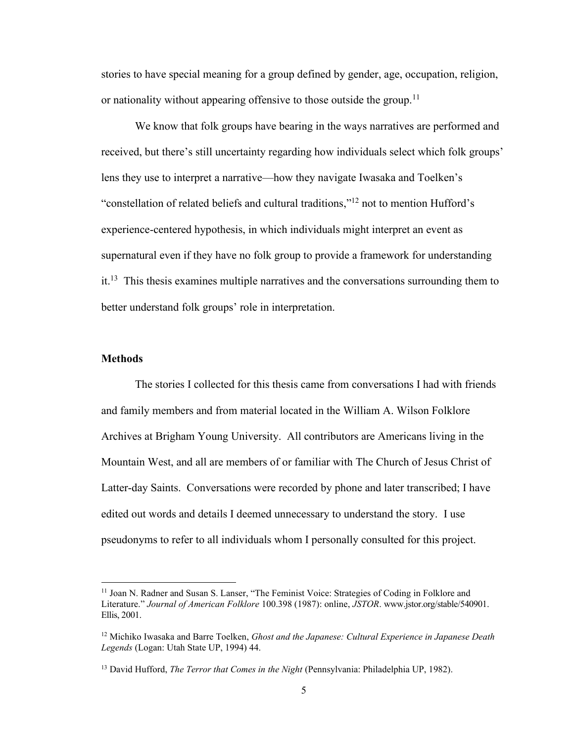stories to have special meaning for a group defined by gender, age, occupation, religion, or nationality without appearing offensive to those outside the group.<sup>11</sup>

We know that folk groups have bearing in the ways narratives are performed and received, but there's still uncertainty regarding how individuals select which folk groups' lens they use to interpret a narrative—how they navigate Iwasaka and Toelken's "constellation of related beliefs and cultural traditions,"<sup>12</sup> not to mention Hufford's experience-centered hypothesis, in which individuals might interpret an event as supernatural even if they have no folk group to provide a framework for understanding  $it<sup>13</sup>$ . This thesis examines multiple narratives and the conversations surrounding them to better understand folk groups' role in interpretation.

#### **Methods**

The stories I collected for this thesis came from conversations I had with friends and family members and from material located in the William A. Wilson Folklore Archives at Brigham Young University. All contributors are Americans living in the Mountain West, and all are members of or familiar with The Church of Jesus Christ of Latter-day Saints. Conversations were recorded by phone and later transcribed; I have edited out words and details I deemed unnecessary to understand the story. I use pseudonyms to refer to all individuals whom I personally consulted for this project.

<sup>&</sup>lt;sup>11</sup> Joan N. Radner and Susan S. Lanser, "The Feminist Voice: Strategies of Coding in Folklore and Literature." *Journal of American Folklore* 100.398 (1987): online, *JSTOR*. www.jstor.org/stable/540901. Ellis, 2001.

<sup>12</sup> Michiko Iwasaka and Barre Toelken, *Ghost and the Japanese: Cultural Experience in Japanese Death Legends* (Logan: Utah State UP, 1994) 44.

<sup>13</sup> David Hufford, *The Terror that Comes in the Night* (Pennsylvania: Philadelphia UP, 1982).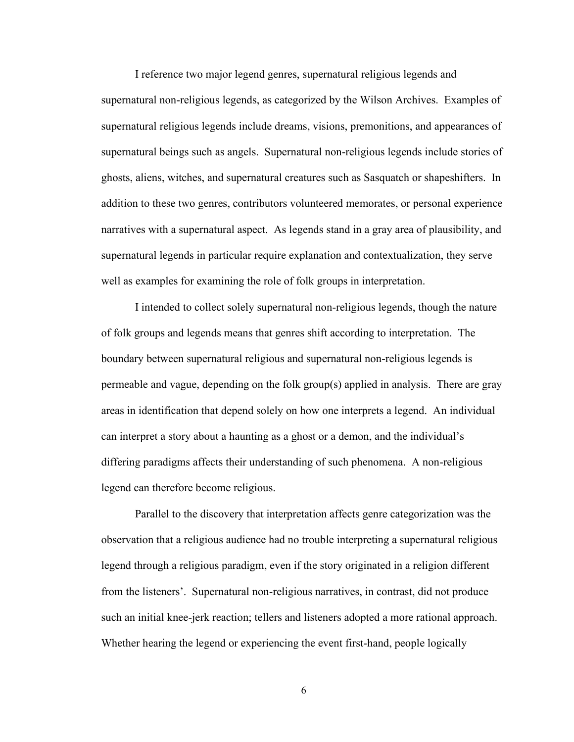I reference two major legend genres, supernatural religious legends and

supernatural non-religious legends, as categorized by the Wilson Archives. Examples of supernatural religious legends include dreams, visions, premonitions, and appearances of supernatural beings such as angels. Supernatural non-religious legends include stories of ghosts, aliens, witches, and supernatural creatures such as Sasquatch or shapeshifters. In addition to these two genres, contributors volunteered memorates, or personal experience narratives with a supernatural aspect. As legends stand in a gray area of plausibility, and supernatural legends in particular require explanation and contextualization, they serve well as examples for examining the role of folk groups in interpretation.

I intended to collect solely supernatural non-religious legends, though the nature of folk groups and legends means that genres shift according to interpretation. The boundary between supernatural religious and supernatural non-religious legends is permeable and vague, depending on the folk group(s) applied in analysis. There are gray areas in identification that depend solely on how one interprets a legend. An individual can interpret a story about a haunting as a ghost or a demon, and the individual's differing paradigms affects their understanding of such phenomena. A non-religious legend can therefore become religious.

Parallel to the discovery that interpretation affects genre categorization was the observation that a religious audience had no trouble interpreting a supernatural religious legend through a religious paradigm, even if the story originated in a religion different from the listeners'. Supernatural non-religious narratives, in contrast, did not produce such an initial knee-jerk reaction; tellers and listeners adopted a more rational approach. Whether hearing the legend or experiencing the event first-hand, people logically

6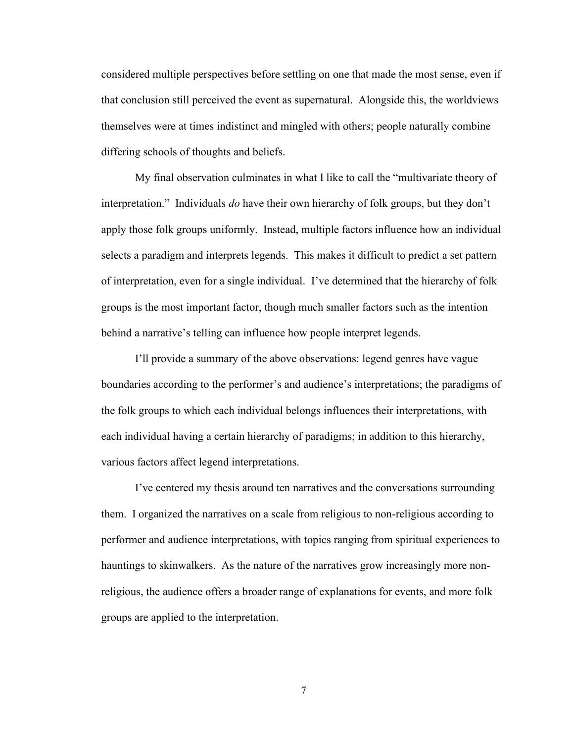considered multiple perspectives before settling on one that made the most sense, even if that conclusion still perceived the event as supernatural. Alongside this, the worldviews themselves were at times indistinct and mingled with others; people naturally combine differing schools of thoughts and beliefs.

My final observation culminates in what I like to call the "multivariate theory of interpretation." Individuals *do* have their own hierarchy of folk groups, but they don't apply those folk groups uniformly. Instead, multiple factors influence how an individual selects a paradigm and interprets legends. This makes it difficult to predict a set pattern of interpretation, even for a single individual. I've determined that the hierarchy of folk groups is the most important factor, though much smaller factors such as the intention behind a narrative's telling can influence how people interpret legends.

I'll provide a summary of the above observations: legend genres have vague boundaries according to the performer's and audience's interpretations; the paradigms of the folk groups to which each individual belongs influences their interpretations, with each individual having a certain hierarchy of paradigms; in addition to this hierarchy, various factors affect legend interpretations.

I've centered my thesis around ten narratives and the conversations surrounding them. I organized the narratives on a scale from religious to non-religious according to performer and audience interpretations, with topics ranging from spiritual experiences to hauntings to skinwalkers. As the nature of the narratives grow increasingly more nonreligious, the audience offers a broader range of explanations for events, and more folk groups are applied to the interpretation.

7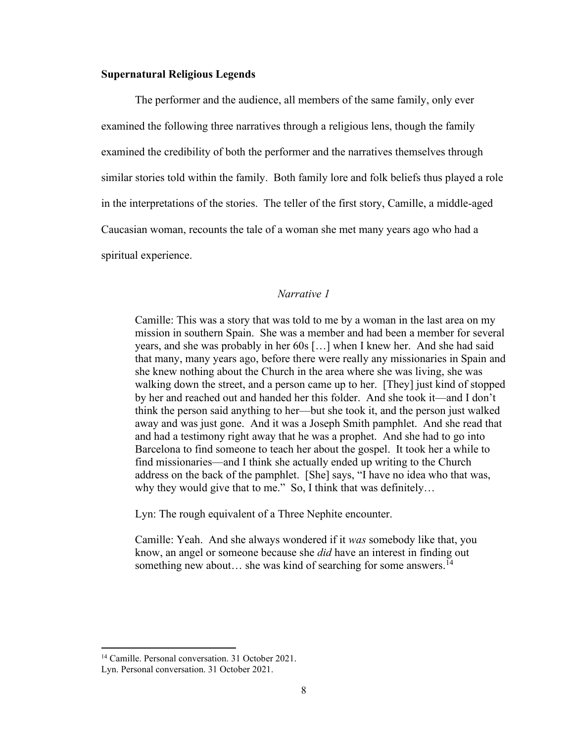#### **Supernatural Religious Legends**

The performer and the audience, all members of the same family, only ever examined the following three narratives through a religious lens, though the family examined the credibility of both the performer and the narratives themselves through similar stories told within the family. Both family lore and folk beliefs thus played a role in the interpretations of the stories. The teller of the first story, Camille, a middle-aged Caucasian woman, recounts the tale of a woman she met many years ago who had a spiritual experience.

#### *Narrative 1*

Camille: This was a story that was told to me by a woman in the last area on my mission in southern Spain. She was a member and had been a member for several years, and she was probably in her 60s […] when I knew her. And she had said that many, many years ago, before there were really any missionaries in Spain and she knew nothing about the Church in the area where she was living, she was walking down the street, and a person came up to her. [They] just kind of stopped by her and reached out and handed her this folder. And she took it—and I don't think the person said anything to her—but she took it, and the person just walked away and was just gone. And it was a Joseph Smith pamphlet. And she read that and had a testimony right away that he was a prophet. And she had to go into Barcelona to find someone to teach her about the gospel. It took her a while to find missionaries—and I think she actually ended up writing to the Church address on the back of the pamphlet. [She] says, "I have no idea who that was, why they would give that to me." So, I think that was definitely…

Lyn: The rough equivalent of a Three Nephite encounter.

Camille: Yeah. And she always wondered if it *was* somebody like that, you know, an angel or someone because she *did* have an interest in finding out something new about... she was kind of searching for some answers.<sup>14</sup>

<sup>&</sup>lt;sup>14</sup> Camille. Personal conversation. 31 October 2021.

Lyn. Personal conversation. 31 October 2021.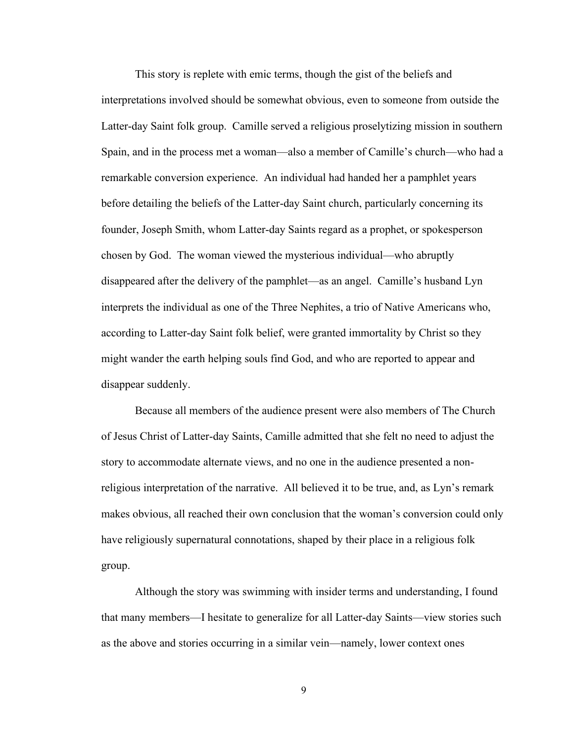This story is replete with emic terms, though the gist of the beliefs and interpretations involved should be somewhat obvious, even to someone from outside the Latter-day Saint folk group. Camille served a religious proselytizing mission in southern Spain, and in the process met a woman—also a member of Camille's church—who had a remarkable conversion experience. An individual had handed her a pamphlet years before detailing the beliefs of the Latter-day Saint church, particularly concerning its founder, Joseph Smith, whom Latter-day Saints regard as a prophet, or spokesperson chosen by God. The woman viewed the mysterious individual—who abruptly disappeared after the delivery of the pamphlet—as an angel. Camille's husband Lyn interprets the individual as one of the Three Nephites, a trio of Native Americans who, according to Latter-day Saint folk belief, were granted immortality by Christ so they might wander the earth helping souls find God, and who are reported to appear and disappear suddenly.

Because all members of the audience present were also members of The Church of Jesus Christ of Latter-day Saints, Camille admitted that she felt no need to adjust the story to accommodate alternate views, and no one in the audience presented a nonreligious interpretation of the narrative. All believed it to be true, and, as Lyn's remark makes obvious, all reached their own conclusion that the woman's conversion could only have religiously supernatural connotations, shaped by their place in a religious folk group.

Although the story was swimming with insider terms and understanding, I found that many members—I hesitate to generalize for all Latter-day Saints—view stories such as the above and stories occurring in a similar vein—namely, lower context ones

9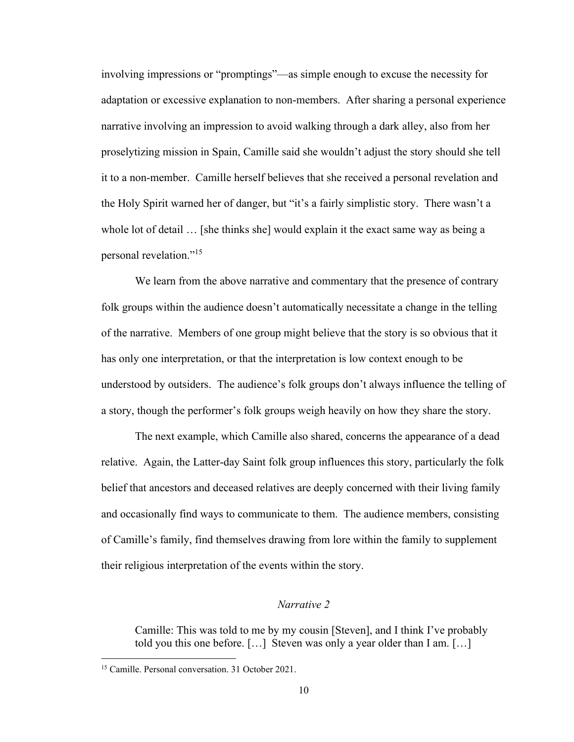involving impressions or "promptings"—as simple enough to excuse the necessity for adaptation or excessive explanation to non-members. After sharing a personal experience narrative involving an impression to avoid walking through a dark alley, also from her proselytizing mission in Spain, Camille said she wouldn't adjust the story should she tell it to a non-member. Camille herself believes that she received a personal revelation and the Holy Spirit warned her of danger, but "it's a fairly simplistic story. There wasn't a whole lot of detail ... [she thinks she] would explain it the exact same way as being a personal revelation."<sup>15</sup>

We learn from the above narrative and commentary that the presence of contrary folk groups within the audience doesn't automatically necessitate a change in the telling of the narrative. Members of one group might believe that the story is so obvious that it has only one interpretation, or that the interpretation is low context enough to be understood by outsiders. The audience's folk groups don't always influence the telling of a story, though the performer's folk groups weigh heavily on how they share the story.

The next example, which Camille also shared, concerns the appearance of a dead relative. Again, the Latter-day Saint folk group influences this story, particularly the folk belief that ancestors and deceased relatives are deeply concerned with their living family and occasionally find ways to communicate to them. The audience members, consisting of Camille's family, find themselves drawing from lore within the family to supplement their religious interpretation of the events within the story.

#### *Narrative 2*

Camille: This was told to me by my cousin [Steven], and I think I've probably told you this one before. […] Steven was only a year older than I am. […]

<sup>15</sup> Camille. Personal conversation. 31 October 2021.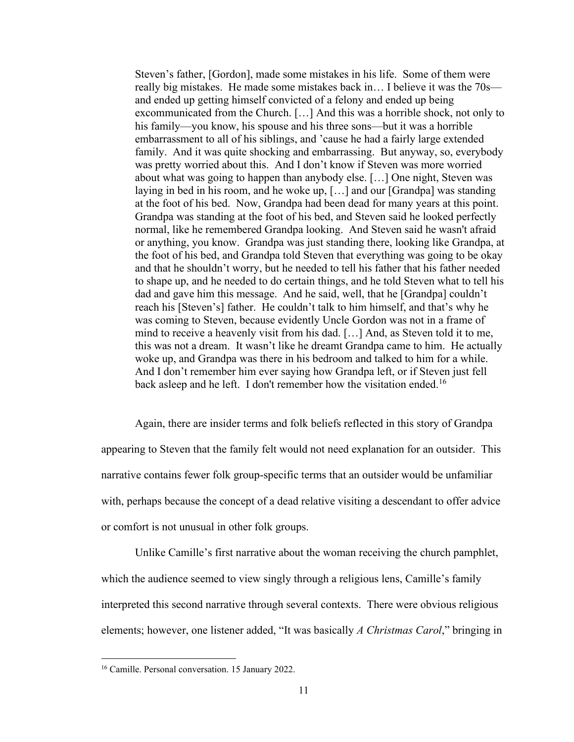Steven's father, [Gordon], made some mistakes in his life. Some of them were really big mistakes. He made some mistakes back in… I believe it was the 70s and ended up getting himself convicted of a felony and ended up being excommunicated from the Church. […] And this was a horrible shock, not only to his family—you know, his spouse and his three sons—but it was a horrible embarrassment to all of his siblings, and 'cause he had a fairly large extended family. And it was quite shocking and embarrassing. But anyway, so, everybody was pretty worried about this. And I don't know if Steven was more worried about what was going to happen than anybody else. […] One night, Steven was laying in bed in his room, and he woke up, […] and our [Grandpa] was standing at the foot of his bed. Now, Grandpa had been dead for many years at this point. Grandpa was standing at the foot of his bed, and Steven said he looked perfectly normal, like he remembered Grandpa looking. And Steven said he wasn't afraid or anything, you know. Grandpa was just standing there, looking like Grandpa, at the foot of his bed, and Grandpa told Steven that everything was going to be okay and that he shouldn't worry, but he needed to tell his father that his father needed to shape up, and he needed to do certain things, and he told Steven what to tell his dad and gave him this message. And he said, well, that he [Grandpa] couldn't reach his [Steven's] father. He couldn't talk to him himself, and that's why he was coming to Steven, because evidently Uncle Gordon was not in a frame of mind to receive a heavenly visit from his dad. […] And, as Steven told it to me, this was not a dream. It wasn't like he dreamt Grandpa came to him. He actually woke up, and Grandpa was there in his bedroom and talked to him for a while. And I don't remember him ever saying how Grandpa left, or if Steven just fell back asleep and he left. I don't remember how the visitation ended.<sup>16</sup>

Again, there are insider terms and folk beliefs reflected in this story of Grandpa appearing to Steven that the family felt would not need explanation for an outsider. This narrative contains fewer folk group-specific terms that an outsider would be unfamiliar with, perhaps because the concept of a dead relative visiting a descendant to offer advice or comfort is not unusual in other folk groups.

Unlike Camille's first narrative about the woman receiving the church pamphlet, which the audience seemed to view singly through a religious lens, Camille's family interpreted this second narrative through several contexts. There were obvious religious elements; however, one listener added, "It was basically *A Christmas Carol*," bringing in

<sup>&</sup>lt;sup>16</sup> Camille. Personal conversation. 15 January 2022.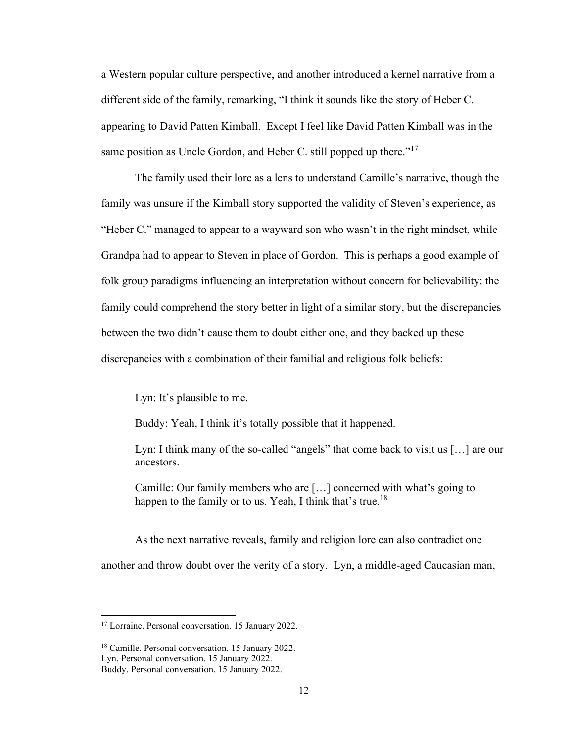a Western popular culture perspective, and another introduced a kernel narrative from a different side of the family, remarking, "I think it sounds like the story of Heber C. appearing to David Patten Kimball. Except I feel like David Patten Kimball was in the same position as Uncle Gordon, and Heber C. still popped up there."<sup>17</sup>

The family used their lore as a lens to understand Camille's narrative, though the family was unsure if the Kimball story supported the validity of Steven's experience, as "Heber C." managed to appear to a wayward son who wasn't in the right mindset, while Grandpa had to appear to Steven in place of Gordon. This is perhaps a good example of folk group paradigms influencing an interpretation without concern for believability: the family could comprehend the story better in light of a similar story, but the discrepancies between the two didn't cause them to doubt either one, and they backed up these discrepancies with a combination of their familial and religious folk beliefs:

Lyn: It's plausible to me.

Buddy: Yeah, I think it's totally possible that it happened.

Lyn: I think many of the so-called "angels" that come back to visit us [...] are our ancestors.

Camille: Our family members who are […] concerned with what's going to happen to the family or to us. Yeah, I think that's true.<sup>18</sup>

As the next narrative reveals, family and religion lore can also contradict one another and throw doubt over the verity of a story. Lyn, a middle-aged Caucasian man,

<sup>&</sup>lt;sup>17</sup> Lorraine. Personal conversation. 15 January 2022.

<sup>18</sup> Camille. Personal conversation. 15 January 2022. Lyn. Personal conversation. 15 January 2022.

Buddy. Personal conversation. 15 January 2022.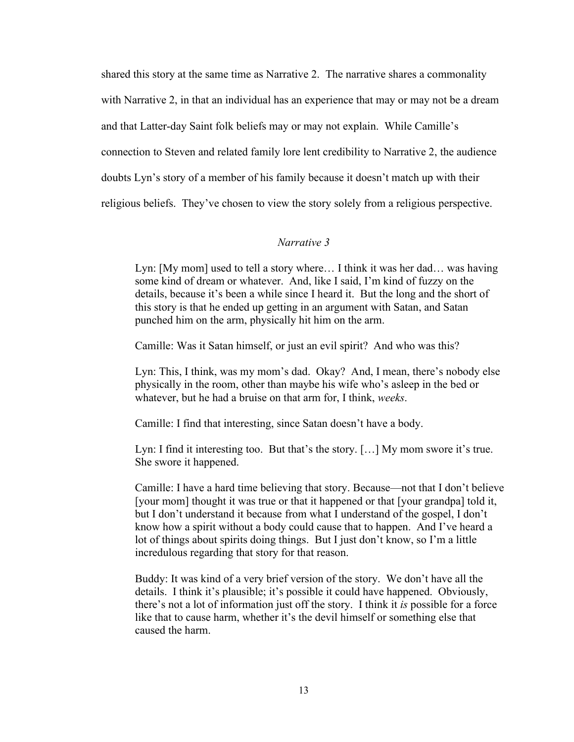shared this story at the same time as Narrative 2. The narrative shares a commonality with Narrative 2, in that an individual has an experience that may or may not be a dream and that Latter-day Saint folk beliefs may or may not explain. While Camille's connection to Steven and related family lore lent credibility to Narrative 2, the audience doubts Lyn's story of a member of his family because it doesn't match up with their religious beliefs. They've chosen to view the story solely from a religious perspective.

#### *Narrative 3*

Lyn: [My mom] used to tell a story where... I think it was her dad... was having some kind of dream or whatever. And, like I said, I'm kind of fuzzy on the details, because it's been a while since I heard it. But the long and the short of this story is that he ended up getting in an argument with Satan, and Satan punched him on the arm, physically hit him on the arm.

Camille: Was it Satan himself, or just an evil spirit? And who was this?

Lyn: This, I think, was my mom's dad. Okay? And, I mean, there's nobody else physically in the room, other than maybe his wife who's asleep in the bed or whatever, but he had a bruise on that arm for, I think, *weeks*.

Camille: I find that interesting, since Satan doesn't have a body.

Lyn: I find it interesting too. But that's the story. […] My mom swore it's true. She swore it happened.

Camille: I have a hard time believing that story. Because—not that I don't believe [your mom] thought it was true or that it happened or that [your grandpa] told it, but I don't understand it because from what I understand of the gospel, I don't know how a spirit without a body could cause that to happen. And I've heard a lot of things about spirits doing things. But I just don't know, so I'm a little incredulous regarding that story for that reason.

Buddy: It was kind of a very brief version of the story. We don't have all the details. I think it's plausible; it's possible it could have happened. Obviously, there's not a lot of information just off the story. I think it *is* possible for a force like that to cause harm, whether it's the devil himself or something else that caused the harm.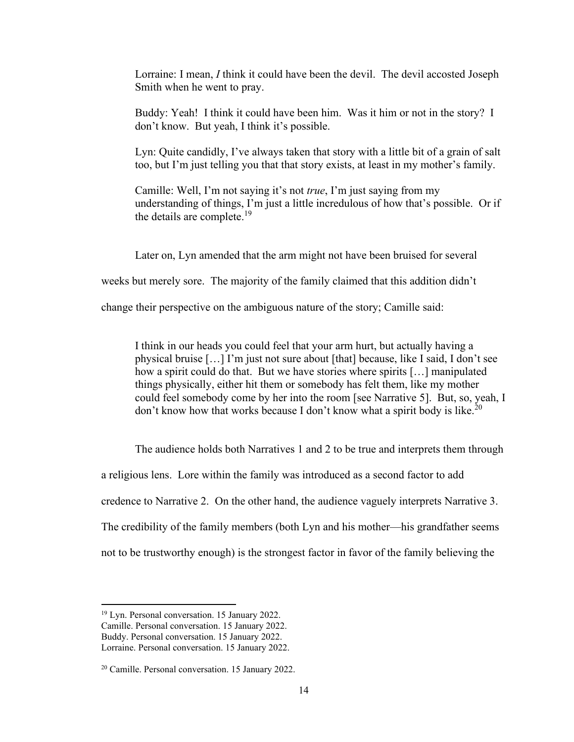Lorraine: I mean, *I* think it could have been the devil. The devil accosted Joseph Smith when he went to pray.

Buddy: Yeah! I think it could have been him. Was it him or not in the story? I don't know. But yeah, I think it's possible.

Lyn: Quite candidly, I've always taken that story with a little bit of a grain of salt too, but I'm just telling you that that story exists, at least in my mother's family.

Camille: Well, I'm not saying it's not *true*, I'm just saying from my understanding of things, I'm just a little incredulous of how that's possible. Or if the details are complete.<sup>19</sup>

Later on, Lyn amended that the arm might not have been bruised for several weeks but merely sore. The majority of the family claimed that this addition didn't change their perspective on the ambiguous nature of the story; Camille said:

I think in our heads you could feel that your arm hurt, but actually having a physical bruise […] I'm just not sure about [that] because, like I said, I don't see how a spirit could do that. But we have stories where spirits […] manipulated things physically, either hit them or somebody has felt them, like my mother could feel somebody come by her into the room [see Narrative 5]. But, so, yeah, I don't know how that works because I don't know what a spirit body is like.<sup>20</sup>

The audience holds both Narratives 1 and 2 to be true and interprets them through

a religious lens. Lore within the family was introduced as a second factor to add

credence to Narrative 2. On the other hand, the audience vaguely interprets Narrative 3.

The credibility of the family members (both Lyn and his mother—his grandfather seems

not to be trustworthy enough) is the strongest factor in favor of the family believing the

<sup>19</sup> Lyn. Personal conversation. 15 January 2022.

Camille. Personal conversation. 15 January 2022.

Buddy. Personal conversation. 15 January 2022.

Lorraine. Personal conversation. 15 January 2022.

<sup>20</sup> Camille. Personal conversation. 15 January 2022.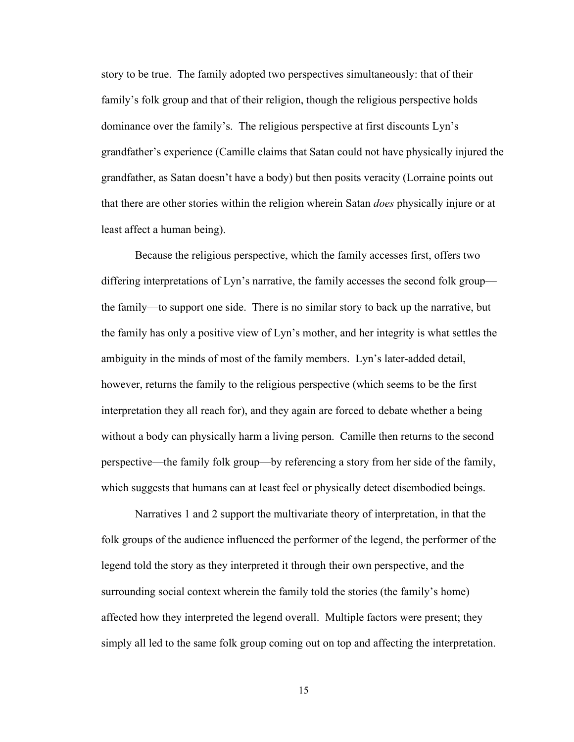story to be true. The family adopted two perspectives simultaneously: that of their family's folk group and that of their religion, though the religious perspective holds dominance over the family's. The religious perspective at first discounts Lyn's grandfather's experience (Camille claims that Satan could not have physically injured the grandfather, as Satan doesn't have a body) but then posits veracity (Lorraine points out that there are other stories within the religion wherein Satan *does* physically injure or at least affect a human being).

Because the religious perspective, which the family accesses first, offers two differing interpretations of Lyn's narrative, the family accesses the second folk group the family—to support one side. There is no similar story to back up the narrative, but the family has only a positive view of Lyn's mother, and her integrity is what settles the ambiguity in the minds of most of the family members. Lyn's later-added detail, however, returns the family to the religious perspective (which seems to be the first interpretation they all reach for), and they again are forced to debate whether a being without a body can physically harm a living person. Camille then returns to the second perspective—the family folk group—by referencing a story from her side of the family, which suggests that humans can at least feel or physically detect disembodied beings.

Narratives 1 and 2 support the multivariate theory of interpretation, in that the folk groups of the audience influenced the performer of the legend, the performer of the legend told the story as they interpreted it through their own perspective, and the surrounding social context wherein the family told the stories (the family's home) affected how they interpreted the legend overall. Multiple factors were present; they simply all led to the same folk group coming out on top and affecting the interpretation.

15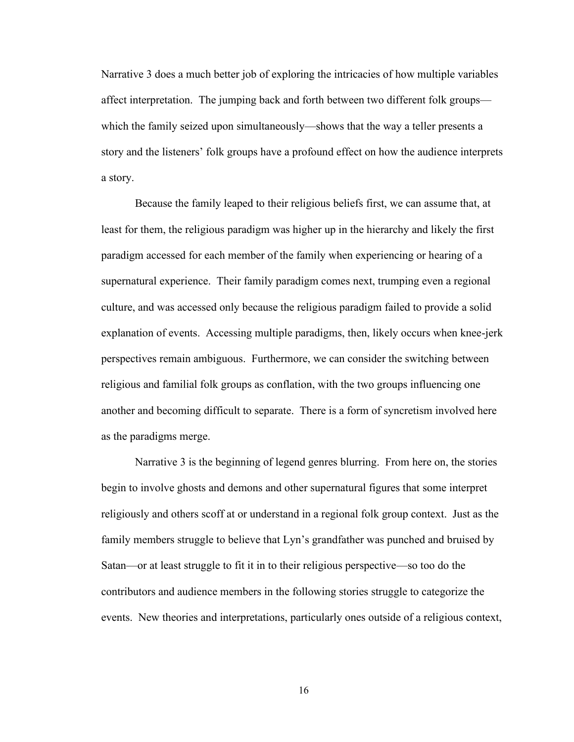Narrative 3 does a much better job of exploring the intricacies of how multiple variables affect interpretation. The jumping back and forth between two different folk groups which the family seized upon simultaneously—shows that the way a teller presents a story and the listeners' folk groups have a profound effect on how the audience interprets a story.

Because the family leaped to their religious beliefs first, we can assume that, at least for them, the religious paradigm was higher up in the hierarchy and likely the first paradigm accessed for each member of the family when experiencing or hearing of a supernatural experience. Their family paradigm comes next, trumping even a regional culture, and was accessed only because the religious paradigm failed to provide a solid explanation of events. Accessing multiple paradigms, then, likely occurs when knee-jerk perspectives remain ambiguous. Furthermore, we can consider the switching between religious and familial folk groups as conflation, with the two groups influencing one another and becoming difficult to separate. There is a form of syncretism involved here as the paradigms merge.

Narrative 3 is the beginning of legend genres blurring. From here on, the stories begin to involve ghosts and demons and other supernatural figures that some interpret religiously and others scoff at or understand in a regional folk group context. Just as the family members struggle to believe that Lyn's grandfather was punched and bruised by Satan—or at least struggle to fit it in to their religious perspective—so too do the contributors and audience members in the following stories struggle to categorize the events. New theories and interpretations, particularly ones outside of a religious context,

16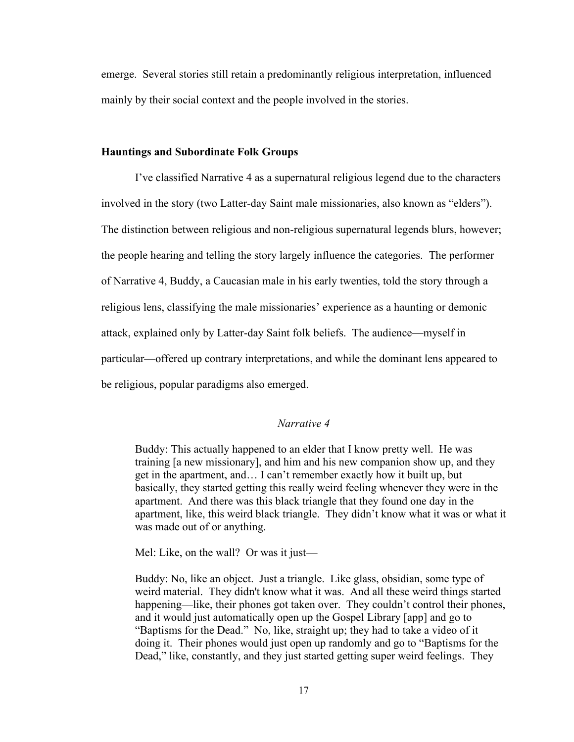emerge. Several stories still retain a predominantly religious interpretation, influenced mainly by their social context and the people involved in the stories.

#### **Hauntings and Subordinate Folk Groups**

I've classified Narrative 4 as a supernatural religious legend due to the characters involved in the story (two Latter-day Saint male missionaries, also known as "elders"). The distinction between religious and non-religious supernatural legends blurs, however; the people hearing and telling the story largely influence the categories. The performer of Narrative 4, Buddy, a Caucasian male in his early twenties, told the story through a religious lens, classifying the male missionaries' experience as a haunting or demonic attack, explained only by Latter-day Saint folk beliefs. The audience—myself in particular—offered up contrary interpretations, and while the dominant lens appeared to be religious, popular paradigms also emerged.

#### *Narrative 4*

Buddy: This actually happened to an elder that I know pretty well. He was training [a new missionary], and him and his new companion show up, and they get in the apartment, and… I can't remember exactly how it built up, but basically, they started getting this really weird feeling whenever they were in the apartment. And there was this black triangle that they found one day in the apartment, like, this weird black triangle. They didn't know what it was or what it was made out of or anything.

Mel: Like, on the wall? Or was it just—

Buddy: No, like an object. Just a triangle. Like glass, obsidian, some type of weird material. They didn't know what it was. And all these weird things started happening—like, their phones got taken over. They couldn't control their phones, and it would just automatically open up the Gospel Library [app] and go to "Baptisms for the Dead." No, like, straight up; they had to take a video of it doing it. Their phones would just open up randomly and go to "Baptisms for the Dead," like, constantly, and they just started getting super weird feelings. They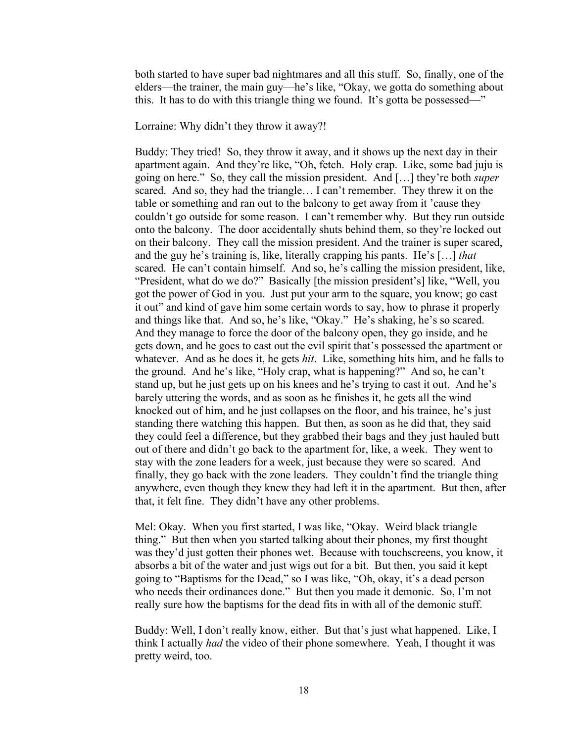both started to have super bad nightmares and all this stuff. So, finally, one of the elders—the trainer, the main guy—he's like, "Okay, we gotta do something about this. It has to do with this triangle thing we found. It's gotta be possessed—"

Lorraine: Why didn't they throw it away?!

Buddy: They tried! So, they throw it away, and it shows up the next day in their apartment again. And they're like, "Oh, fetch. Holy crap. Like, some bad juju is going on here." So, they call the mission president. And […] they're both *super* scared. And so, they had the triangle… I can't remember. They threw it on the table or something and ran out to the balcony to get away from it 'cause they couldn't go outside for some reason. I can't remember why. But they run outside onto the balcony. The door accidentally shuts behind them, so they're locked out on their balcony. They call the mission president. And the trainer is super scared, and the guy he's training is, like, literally crapping his pants. He's […] *that* scared. He can't contain himself. And so, he's calling the mission president, like, "President, what do we do?" Basically [the mission president's] like, "Well, you got the power of God in you. Just put your arm to the square, you know; go cast it out" and kind of gave him some certain words to say, how to phrase it properly and things like that. And so, he's like, "Okay." He's shaking, he's so scared. And they manage to force the door of the balcony open, they go inside, and he gets down, and he goes to cast out the evil spirit that's possessed the apartment or whatever. And as he does it, he gets *hit*. Like, something hits him, and he falls to the ground. And he's like, "Holy crap, what is happening?" And so, he can't stand up, but he just gets up on his knees and he's trying to cast it out. And he's barely uttering the words, and as soon as he finishes it, he gets all the wind knocked out of him, and he just collapses on the floor, and his trainee, he's just standing there watching this happen. But then, as soon as he did that, they said they could feel a difference, but they grabbed their bags and they just hauled butt out of there and didn't go back to the apartment for, like, a week. They went to stay with the zone leaders for a week, just because they were so scared. And finally, they go back with the zone leaders. They couldn't find the triangle thing anywhere, even though they knew they had left it in the apartment. But then, after that, it felt fine. They didn't have any other problems.

Mel: Okay. When you first started, I was like, "Okay. Weird black triangle thing." But then when you started talking about their phones, my first thought was they'd just gotten their phones wet. Because with touchscreens, you know, it absorbs a bit of the water and just wigs out for a bit. But then, you said it kept going to "Baptisms for the Dead," so I was like, "Oh, okay, it's a dead person who needs their ordinances done." But then you made it demonic. So, I'm not really sure how the baptisms for the dead fits in with all of the demonic stuff.

Buddy: Well, I don't really know, either. But that's just what happened. Like, I think I actually *had* the video of their phone somewhere. Yeah, I thought it was pretty weird, too.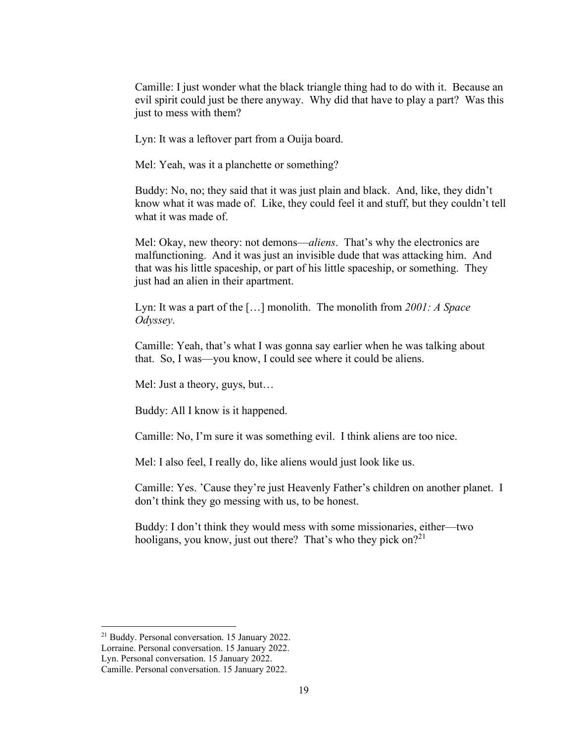Camille: I just wonder what the black triangle thing had to do with it. Because an evil spirit could just be there anyway. Why did that have to play a part? Was this just to mess with them?

Lyn: It was a leftover part from a Ouija board.

Mel: Yeah, was it a planchette or something?

Buddy: No, no; they said that it was just plain and black. And, like, they didn't know what it was made of. Like, they could feel it and stuff, but they couldn't tell what it was made of.

Mel: Okay, new theory: not demons—*aliens*. That's why the electronics are malfunctioning. And it was just an invisible dude that was attacking him. And that was his little spaceship, or part of his little spaceship, or something. They just had an alien in their apartment.

Lyn: It was a part of the […] monolith. The monolith from *2001: A Space Odyssey*.

Camille: Yeah, that's what I was gonna say earlier when he was talking about that. So, I was—you know, I could see where it could be aliens.

Mel: Just a theory, guys, but…

Buddy: All I know is it happened.

Camille: No, I'm sure it was something evil. I think aliens are too nice.

Mel: I also feel, I really do, like aliens would just look like us.

Camille: Yes. 'Cause they're just Heavenly Father's children on another planet. I don't think they go messing with us, to be honest.

Buddy: I don't think they would mess with some missionaries, either—two hooligans, you know, just out there? That's who they pick on?<sup>21</sup>

<sup>21</sup> Buddy. Personal conversation. 15 January 2022.

Lorraine. Personal conversation. 15 January 2022.

Lyn. Personal conversation. 15 January 2022.

Camille. Personal conversation. 15 January 2022.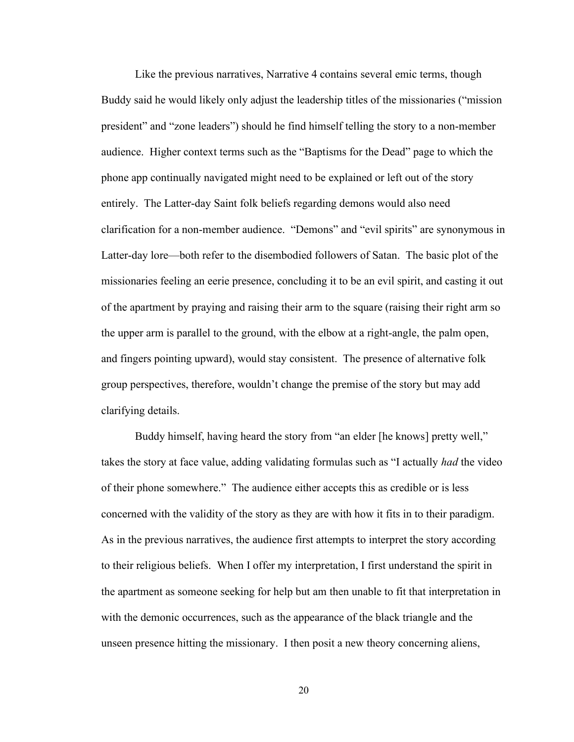Like the previous narratives, Narrative 4 contains several emic terms, though Buddy said he would likely only adjust the leadership titles of the missionaries ("mission president" and "zone leaders") should he find himself telling the story to a non-member audience. Higher context terms such as the "Baptisms for the Dead" page to which the phone app continually navigated might need to be explained or left out of the story entirely. The Latter-day Saint folk beliefs regarding demons would also need clarification for a non-member audience. "Demons" and "evil spirits" are synonymous in Latter-day lore—both refer to the disembodied followers of Satan. The basic plot of the missionaries feeling an eerie presence, concluding it to be an evil spirit, and casting it out of the apartment by praying and raising their arm to the square (raising their right arm so the upper arm is parallel to the ground, with the elbow at a right-angle, the palm open, and fingers pointing upward), would stay consistent. The presence of alternative folk group perspectives, therefore, wouldn't change the premise of the story but may add clarifying details.

Buddy himself, having heard the story from "an elder [he knows] pretty well," takes the story at face value, adding validating formulas such as "I actually *had* the video of their phone somewhere." The audience either accepts this as credible or is less concerned with the validity of the story as they are with how it fits in to their paradigm. As in the previous narratives, the audience first attempts to interpret the story according to their religious beliefs. When I offer my interpretation, I first understand the spirit in the apartment as someone seeking for help but am then unable to fit that interpretation in with the demonic occurrences, such as the appearance of the black triangle and the unseen presence hitting the missionary. I then posit a new theory concerning aliens,

20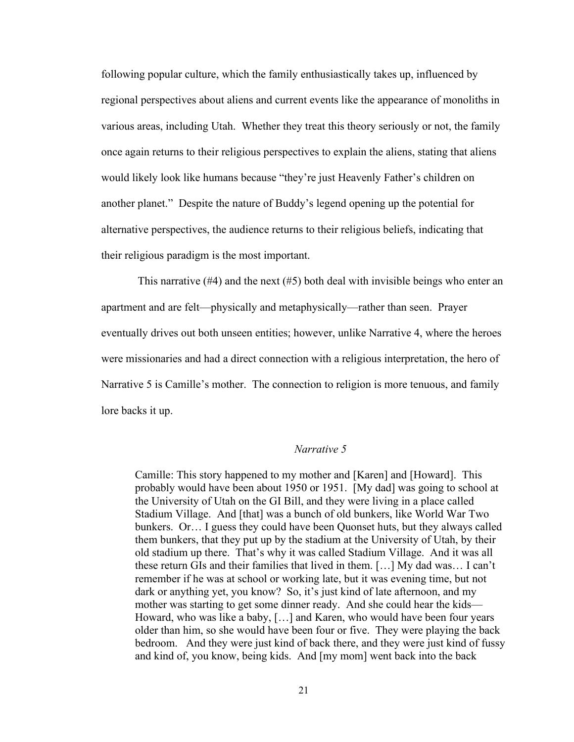following popular culture, which the family enthusiastically takes up, influenced by regional perspectives about aliens and current events like the appearance of monoliths in various areas, including Utah. Whether they treat this theory seriously or not, the family once again returns to their religious perspectives to explain the aliens, stating that aliens would likely look like humans because "they're just Heavenly Father's children on another planet." Despite the nature of Buddy's legend opening up the potential for alternative perspectives, the audience returns to their religious beliefs, indicating that their religious paradigm is the most important.

This narrative  $(\#4)$  and the next  $(\#5)$  both deal with invisible beings who enter an apartment and are felt—physically and metaphysically—rather than seen. Prayer eventually drives out both unseen entities; however, unlike Narrative 4, where the heroes were missionaries and had a direct connection with a religious interpretation, the hero of Narrative 5 is Camille's mother. The connection to religion is more tenuous, and family lore backs it up.

### *Narrative 5*

Camille: This story happened to my mother and [Karen] and [Howard]. This probably would have been about 1950 or 1951. [My dad] was going to school at the University of Utah on the GI Bill, and they were living in a place called Stadium Village. And [that] was a bunch of old bunkers, like World War Two bunkers. Or… I guess they could have been Quonset huts, but they always called them bunkers, that they put up by the stadium at the University of Utah, by their old stadium up there. That's why it was called Stadium Village. And it was all these return GIs and their families that lived in them. […] My dad was… I can't remember if he was at school or working late, but it was evening time, but not dark or anything yet, you know? So, it's just kind of late afternoon, and my mother was starting to get some dinner ready. And she could hear the kids— Howard, who was like a baby, […] and Karen, who would have been four years older than him, so she would have been four or five. They were playing the back bedroom. And they were just kind of back there, and they were just kind of fussy and kind of, you know, being kids. And [my mom] went back into the back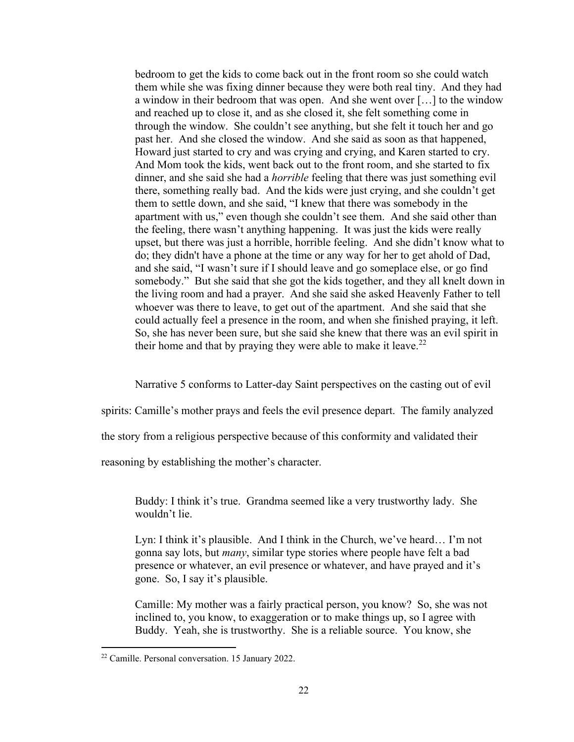bedroom to get the kids to come back out in the front room so she could watch them while she was fixing dinner because they were both real tiny. And they had a window in their bedroom that was open. And she went over […] to the window and reached up to close it, and as she closed it, she felt something come in through the window. She couldn't see anything, but she felt it touch her and go past her. And she closed the window. And she said as soon as that happened, Howard just started to cry and was crying and crying, and Karen started to cry. And Mom took the kids, went back out to the front room, and she started to fix dinner, and she said she had a *horrible* feeling that there was just something evil there, something really bad. And the kids were just crying, and she couldn't get them to settle down, and she said, "I knew that there was somebody in the apartment with us," even though she couldn't see them. And she said other than the feeling, there wasn't anything happening. It was just the kids were really upset, but there was just a horrible, horrible feeling. And she didn't know what to do; they didn't have a phone at the time or any way for her to get ahold of Dad, and she said, "I wasn't sure if I should leave and go someplace else, or go find somebody." But she said that she got the kids together, and they all knelt down in the living room and had a prayer. And she said she asked Heavenly Father to tell whoever was there to leave, to get out of the apartment. And she said that she could actually feel a presence in the room, and when she finished praying, it left. So, she has never been sure, but she said she knew that there was an evil spirit in their home and that by praying they were able to make it leave.<sup>22</sup>

Narrative 5 conforms to Latter-day Saint perspectives on the casting out of evil

spirits: Camille's mother prays and feels the evil presence depart. The family analyzed

the story from a religious perspective because of this conformity and validated their

reasoning by establishing the mother's character.

Buddy: I think it's true. Grandma seemed like a very trustworthy lady. She wouldn't lie.

Lyn: I think it's plausible. And I think in the Church, we've heard… I'm not gonna say lots, but *many*, similar type stories where people have felt a bad presence or whatever, an evil presence or whatever, and have prayed and it's gone. So, I say it's plausible.

Camille: My mother was a fairly practical person, you know? So, she was not inclined to, you know, to exaggeration or to make things up, so I agree with Buddy. Yeah, she is trustworthy. She is a reliable source. You know, she

<sup>22</sup> Camille. Personal conversation. 15 January 2022.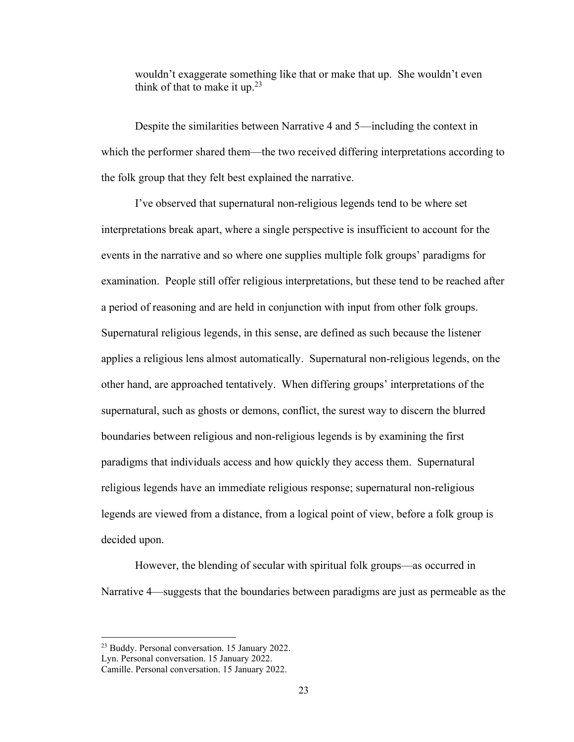wouldn't exaggerate something like that or make that up. She wouldn't even think of that to make it up.<sup>23</sup>

Despite the similarities between Narrative 4 and 5—including the context in which the performer shared them—the two received differing interpretations according to the folk group that they felt best explained the narrative.

I've observed that supernatural non-religious legends tend to be where set interpretations break apart, where a single perspective is insufficient to account for the events in the narrative and so where one supplies multiple folk groups' paradigms for examination. People still offer religious interpretations, but these tend to be reached after a period of reasoning and are held in conjunction with input from other folk groups. Supernatural religious legends, in this sense, are defined as such because the listener applies a religious lens almost automatically. Supernatural non-religious legends, on the other hand, are approached tentatively. When differing groups' interpretations of the supernatural, such as ghosts or demons, conflict, the surest way to discern the blurred boundaries between religious and non-religious legends is by examining the first paradigms that individuals access and how quickly they access them. Supernatural religious legends have an immediate religious response; supernatural non-religious legends are viewed from a distance, from a logical point of view, before a folk group is decided upon.

However, the blending of secular with spiritual folk groups—as occurred in Narrative 4—suggests that the boundaries between paradigms are just as permeable as the

<sup>23</sup> Buddy. Personal conversation. 15 January 2022.

Lyn. Personal conversation. 15 January 2022.

Camille. Personal conversation. 15 January 2022.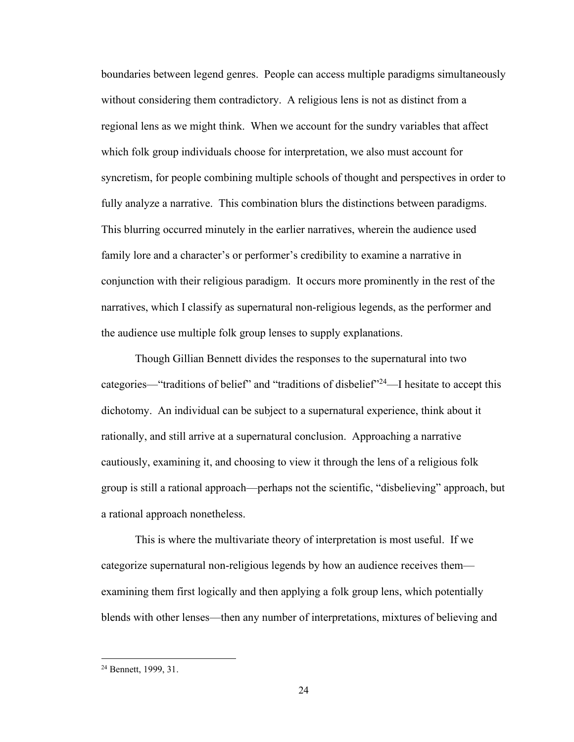boundaries between legend genres. People can access multiple paradigms simultaneously without considering them contradictory. A religious lens is not as distinct from a regional lens as we might think. When we account for the sundry variables that affect which folk group individuals choose for interpretation, we also must account for syncretism, for people combining multiple schools of thought and perspectives in order to fully analyze a narrative. This combination blurs the distinctions between paradigms. This blurring occurred minutely in the earlier narratives, wherein the audience used family lore and a character's or performer's credibility to examine a narrative in conjunction with their religious paradigm. It occurs more prominently in the rest of the narratives, which I classify as supernatural non-religious legends, as the performer and the audience use multiple folk group lenses to supply explanations.

Though Gillian Bennett divides the responses to the supernatural into two categories—"traditions of belief" and "traditions of disbelief"<sup>24</sup>—I hesitate to accept this dichotomy. An individual can be subject to a supernatural experience, think about it rationally, and still arrive at a supernatural conclusion. Approaching a narrative cautiously, examining it, and choosing to view it through the lens of a religious folk group is still a rational approach—perhaps not the scientific, "disbelieving" approach, but a rational approach nonetheless.

This is where the multivariate theory of interpretation is most useful. If we categorize supernatural non-religious legends by how an audience receives them examining them first logically and then applying a folk group lens, which potentially blends with other lenses—then any number of interpretations, mixtures of believing and

<sup>24</sup> Bennett, 1999, 31.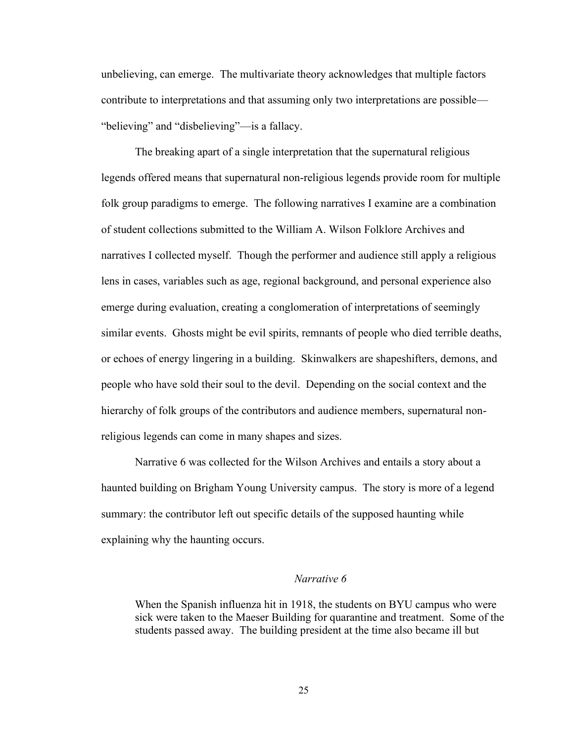unbelieving, can emerge. The multivariate theory acknowledges that multiple factors contribute to interpretations and that assuming only two interpretations are possible— "believing" and "disbelieving"—is a fallacy.

The breaking apart of a single interpretation that the supernatural religious legends offered means that supernatural non-religious legends provide room for multiple folk group paradigms to emerge. The following narratives I examine are a combination of student collections submitted to the William A. Wilson Folklore Archives and narratives I collected myself. Though the performer and audience still apply a religious lens in cases, variables such as age, regional background, and personal experience also emerge during evaluation, creating a conglomeration of interpretations of seemingly similar events. Ghosts might be evil spirits, remnants of people who died terrible deaths, or echoes of energy lingering in a building. Skinwalkers are shapeshifters, demons, and people who have sold their soul to the devil. Depending on the social context and the hierarchy of folk groups of the contributors and audience members, supernatural nonreligious legends can come in many shapes and sizes.

Narrative 6 was collected for the Wilson Archives and entails a story about a haunted building on Brigham Young University campus. The story is more of a legend summary: the contributor left out specific details of the supposed haunting while explaining why the haunting occurs.

## *Narrative 6*

When the Spanish influenza hit in 1918, the students on BYU campus who were sick were taken to the Maeser Building for quarantine and treatment. Some of the students passed away. The building president at the time also became ill but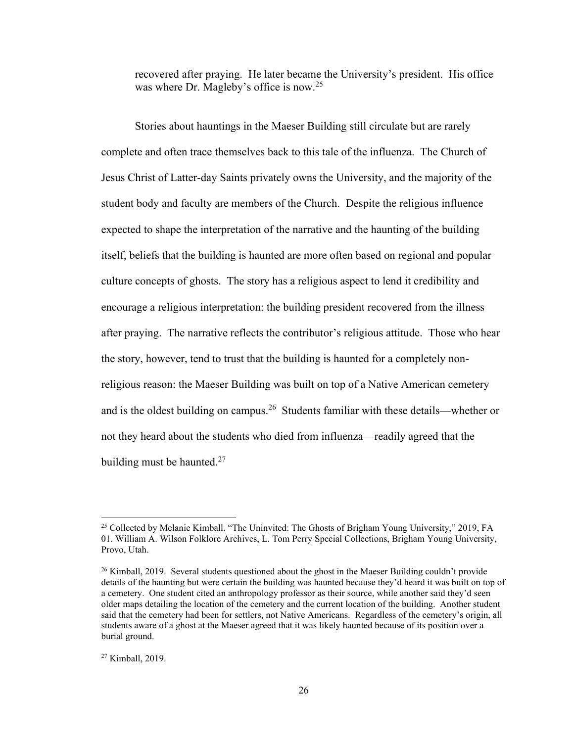recovered after praying. He later became the University's president. His office was where Dr. Magleby's office is now.<sup>25</sup>

Stories about hauntings in the Maeser Building still circulate but are rarely complete and often trace themselves back to this tale of the influenza. The Church of Jesus Christ of Latter-day Saints privately owns the University, and the majority of the student body and faculty are members of the Church. Despite the religious influence expected to shape the interpretation of the narrative and the haunting of the building itself, beliefs that the building is haunted are more often based on regional and popular culture concepts of ghosts. The story has a religious aspect to lend it credibility and encourage a religious interpretation: the building president recovered from the illness after praying. The narrative reflects the contributor's religious attitude. Those who hear the story, however, tend to trust that the building is haunted for a completely nonreligious reason: the Maeser Building was built on top of a Native American cemetery and is the oldest building on campus.<sup>26</sup> Students familiar with these details—whether or not they heard about the students who died from influenza—readily agreed that the building must be haunted.<sup>27</sup>

<sup>&</sup>lt;sup>25</sup> Collected by Melanie Kimball. "The Uninvited: The Ghosts of Brigham Young University," 2019, FA 01. William A. Wilson Folklore Archives, L. Tom Perry Special Collections, Brigham Young University, Provo, Utah.

<sup>&</sup>lt;sup>26</sup> Kimball, 2019. Several students questioned about the ghost in the Maeser Building couldn't provide details of the haunting but were certain the building was haunted because they'd heard it was built on top of a cemetery. One student cited an anthropology professor as their source, while another said they'd seen older maps detailing the location of the cemetery and the current location of the building. Another student said that the cemetery had been for settlers, not Native Americans. Regardless of the cemetery's origin, all students aware of a ghost at the Maeser agreed that it was likely haunted because of its position over a burial ground.

<sup>27</sup> Kimball, 2019.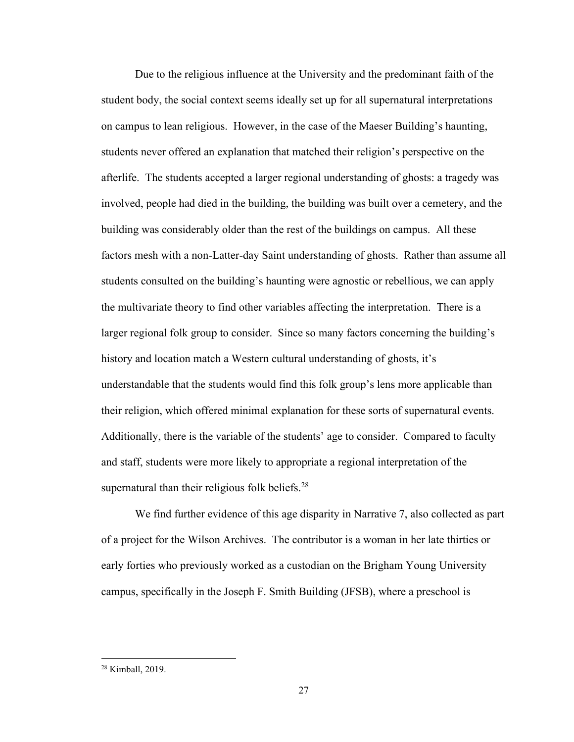Due to the religious influence at the University and the predominant faith of the student body, the social context seems ideally set up for all supernatural interpretations on campus to lean religious. However, in the case of the Maeser Building's haunting, students never offered an explanation that matched their religion's perspective on the afterlife. The students accepted a larger regional understanding of ghosts: a tragedy was involved, people had died in the building, the building was built over a cemetery, and the building was considerably older than the rest of the buildings on campus. All these factors mesh with a non-Latter-day Saint understanding of ghosts. Rather than assume all students consulted on the building's haunting were agnostic or rebellious, we can apply the multivariate theory to find other variables affecting the interpretation. There is a larger regional folk group to consider. Since so many factors concerning the building's history and location match a Western cultural understanding of ghosts, it's understandable that the students would find this folk group's lens more applicable than their religion, which offered minimal explanation for these sorts of supernatural events. Additionally, there is the variable of the students' age to consider. Compared to faculty and staff, students were more likely to appropriate a regional interpretation of the supernatural than their religious folk beliefs. $^{28}$ 

We find further evidence of this age disparity in Narrative 7, also collected as part of a project for the Wilson Archives. The contributor is a woman in her late thirties or early forties who previously worked as a custodian on the Brigham Young University campus, specifically in the Joseph F. Smith Building (JFSB), where a preschool is

<sup>28</sup> Kimball, 2019.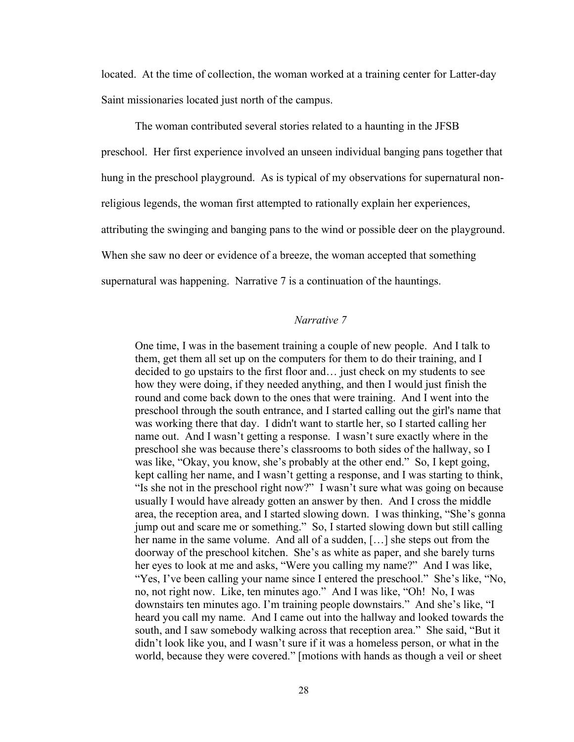located. At the time of collection, the woman worked at a training center for Latter-day Saint missionaries located just north of the campus.

The woman contributed several stories related to a haunting in the JFSB preschool. Her first experience involved an unseen individual banging pans together that hung in the preschool playground. As is typical of my observations for supernatural nonreligious legends, the woman first attempted to rationally explain her experiences, attributing the swinging and banging pans to the wind or possible deer on the playground. When she saw no deer or evidence of a breeze, the woman accepted that something supernatural was happening. Narrative 7 is a continuation of the hauntings.

#### *Narrative 7*

One time, I was in the basement training a couple of new people. And I talk to them, get them all set up on the computers for them to do their training, and I decided to go upstairs to the first floor and… just check on my students to see how they were doing, if they needed anything, and then I would just finish the round and come back down to the ones that were training. And I went into the preschool through the south entrance, and I started calling out the girl's name that was working there that day. I didn't want to startle her, so I started calling her name out. And I wasn't getting a response. I wasn't sure exactly where in the preschool she was because there's classrooms to both sides of the hallway, so I was like, "Okay, you know, she's probably at the other end." So, I kept going, kept calling her name, and I wasn't getting a response, and I was starting to think, "Is she not in the preschool right now?" I wasn't sure what was going on because usually I would have already gotten an answer by then. And I cross the middle area, the reception area, and I started slowing down. I was thinking, "She's gonna jump out and scare me or something." So, I started slowing down but still calling her name in the same volume. And all of a sudden, […] she steps out from the doorway of the preschool kitchen. She's as white as paper, and she barely turns her eyes to look at me and asks, "Were you calling my name?" And I was like, "Yes, I've been calling your name since I entered the preschool." She's like, "No, no, not right now. Like, ten minutes ago." And I was like, "Oh! No, I was downstairs ten minutes ago. I'm training people downstairs." And she's like, "I heard you call my name. And I came out into the hallway and looked towards the south, and I saw somebody walking across that reception area." She said, "But it didn't look like you, and I wasn't sure if it was a homeless person, or what in the world, because they were covered." [motions with hands as though a veil or sheet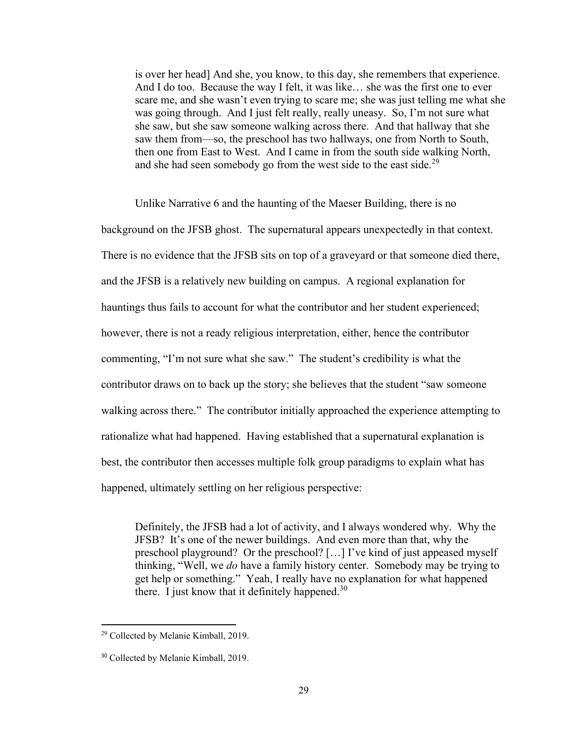is over her head] And she, you know, to this day, she remembers that experience. And I do too. Because the way I felt, it was like… she was the first one to ever scare me, and she wasn't even trying to scare me; she was just telling me what she was going through. And I just felt really, really uneasy. So, I'm not sure what she saw, but she saw someone walking across there. And that hallway that she saw them from—so, the preschool has two hallways, one from North to South, then one from East to West. And I came in from the south side walking North, and she had seen somebody go from the west side to the east side.<sup>29</sup>

Unlike Narrative 6 and the haunting of the Maeser Building, there is no background on the JFSB ghost. The supernatural appears unexpectedly in that context. There is no evidence that the JFSB sits on top of a graveyard or that someone died there, and the JFSB is a relatively new building on campus. A regional explanation for hauntings thus fails to account for what the contributor and her student experienced; however, there is not a ready religious interpretation, either, hence the contributor commenting, "I'm not sure what she saw." The student's credibility is what the contributor draws on to back up the story; she believes that the student "saw someone walking across there." The contributor initially approached the experience attempting to rationalize what had happened. Having established that a supernatural explanation is best, the contributor then accesses multiple folk group paradigms to explain what has happened, ultimately settling on her religious perspective:

Definitely, the JFSB had a lot of activity, and I always wondered why. Why the JFSB? It's one of the newer buildings. And even more than that, why the preschool playground? Or the preschool? […] I've kind of just appeased myself thinking, "Well, we *do* have a family history center. Somebody may be trying to get help or something." Yeah, I really have no explanation for what happened there. I just know that it definitely happened.<sup>30</sup>

<sup>29</sup> Collected by Melanie Kimball, 2019.

<sup>30</sup> Collected by Melanie Kimball, 2019.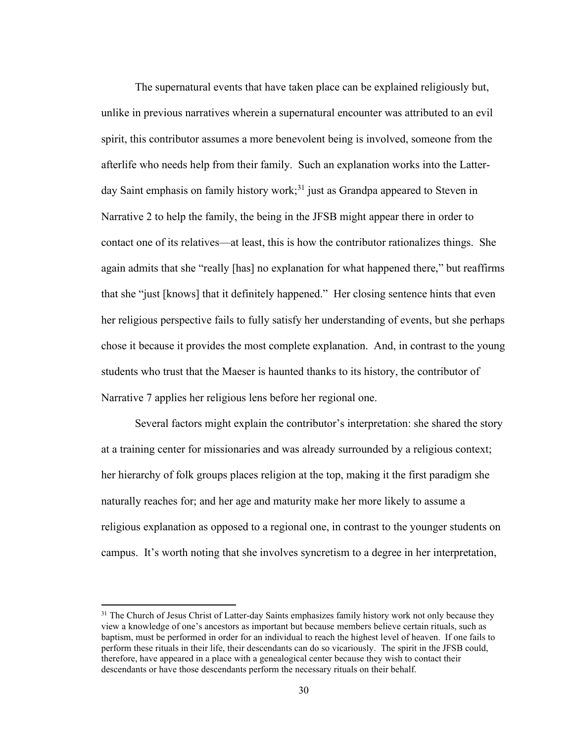The supernatural events that have taken place can be explained religiously but, unlike in previous narratives wherein a supernatural encounter was attributed to an evil spirit, this contributor assumes a more benevolent being is involved, someone from the afterlife who needs help from their family. Such an explanation works into the Latterday Saint emphasis on family history work;<sup>31</sup> just as Grandpa appeared to Steven in Narrative 2 to help the family, the being in the JFSB might appear there in order to contact one of its relatives—at least, this is how the contributor rationalizes things. She again admits that she "really [has] no explanation for what happened there," but reaffirms that she "just [knows] that it definitely happened." Her closing sentence hints that even her religious perspective fails to fully satisfy her understanding of events, but she perhaps chose it because it provides the most complete explanation. And, in contrast to the young students who trust that the Maeser is haunted thanks to its history, the contributor of Narrative 7 applies her religious lens before her regional one.

Several factors might explain the contributor's interpretation: she shared the story at a training center for missionaries and was already surrounded by a religious context; her hierarchy of folk groups places religion at the top, making it the first paradigm she naturally reaches for; and her age and maturity make her more likely to assume a religious explanation as opposed to a regional one, in contrast to the younger students on campus. It's worth noting that she involves syncretism to a degree in her interpretation,

<sup>&</sup>lt;sup>31</sup> The Church of Jesus Christ of Latter-day Saints emphasizes family history work not only because they view a knowledge of one's ancestors as important but because members believe certain rituals, such as baptism, must be performed in order for an individual to reach the highest level of heaven. If one fails to perform these rituals in their life, their descendants can do so vicariously. The spirit in the JFSB could, therefore, have appeared in a place with a genealogical center because they wish to contact their descendants or have those descendants perform the necessary rituals on their behalf.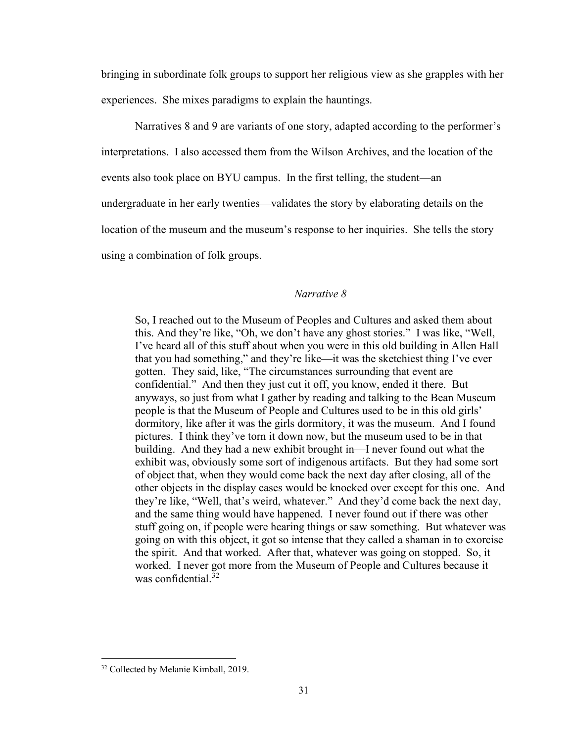bringing in subordinate folk groups to support her religious view as she grapples with her experiences. She mixes paradigms to explain the hauntings.

Narratives 8 and 9 are variants of one story, adapted according to the performer's interpretations. I also accessed them from the Wilson Archives, and the location of the events also took place on BYU campus. In the first telling, the student—an undergraduate in her early twenties—validates the story by elaborating details on the location of the museum and the museum's response to her inquiries. She tells the story using a combination of folk groups.

#### *Narrative 8*

So, I reached out to the Museum of Peoples and Cultures and asked them about this. And they're like, "Oh, we don't have any ghost stories." I was like, "Well, I've heard all of this stuff about when you were in this old building in Allen Hall that you had something," and they're like—it was the sketchiest thing I've ever gotten. They said, like, "The circumstances surrounding that event are confidential." And then they just cut it off, you know, ended it there. But anyways, so just from what I gather by reading and talking to the Bean Museum people is that the Museum of People and Cultures used to be in this old girls' dormitory, like after it was the girls dormitory, it was the museum. And I found pictures. I think they've torn it down now, but the museum used to be in that building. And they had a new exhibit brought in—I never found out what the exhibit was, obviously some sort of indigenous artifacts. But they had some sort of object that, when they would come back the next day after closing, all of the other objects in the display cases would be knocked over except for this one. And they're like, "Well, that's weird, whatever." And they'd come back the next day, and the same thing would have happened. I never found out if there was other stuff going on, if people were hearing things or saw something. But whatever was going on with this object, it got so intense that they called a shaman in to exorcise the spirit. And that worked. After that, whatever was going on stopped. So, it worked. I never got more from the Museum of People and Cultures because it was confidential.<sup>32</sup>

<sup>32</sup> Collected by Melanie Kimball, 2019.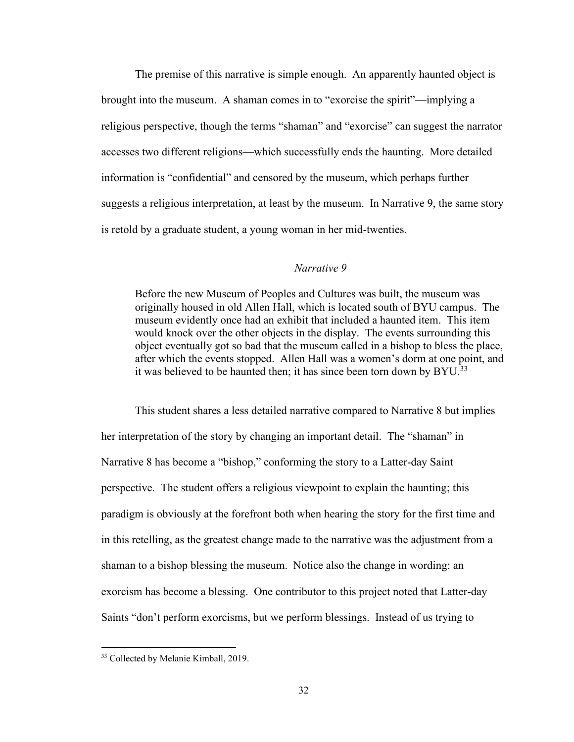The premise of this narrative is simple enough. An apparently haunted object is brought into the museum. A shaman comes in to "exorcise the spirit"—implying a religious perspective, though the terms "shaman" and "exorcise" can suggest the narrator accesses two different religions—which successfully ends the haunting. More detailed information is "confidential" and censored by the museum, which perhaps further suggests a religious interpretation, at least by the museum. In Narrative 9, the same story is retold by a graduate student, a young woman in her mid-twenties.

#### *Narrative 9*

Before the new Museum of Peoples and Cultures was built, the museum was originally housed in old Allen Hall, which is located south of BYU campus. The museum evidently once had an exhibit that included a haunted item. This item would knock over the other objects in the display. The events surrounding this object eventually got so bad that the museum called in a bishop to bless the place, after which the events stopped. Allen Hall was a women's dorm at one point, and it was believed to be haunted then; it has since been torn down by BYU.<sup>33</sup>

This student shares a less detailed narrative compared to Narrative 8 but implies her interpretation of the story by changing an important detail. The "shaman" in Narrative 8 has become a "bishop," conforming the story to a Latter-day Saint perspective. The student offers a religious viewpoint to explain the haunting; this paradigm is obviously at the forefront both when hearing the story for the first time and in this retelling, as the greatest change made to the narrative was the adjustment from a shaman to a bishop blessing the museum. Notice also the change in wording: an exorcism has become a blessing. One contributor to this project noted that Latter-day Saints "don't perform exorcisms, but we perform blessings. Instead of us trying to

<sup>&</sup>lt;sup>33</sup> Collected by Melanie Kimball, 2019.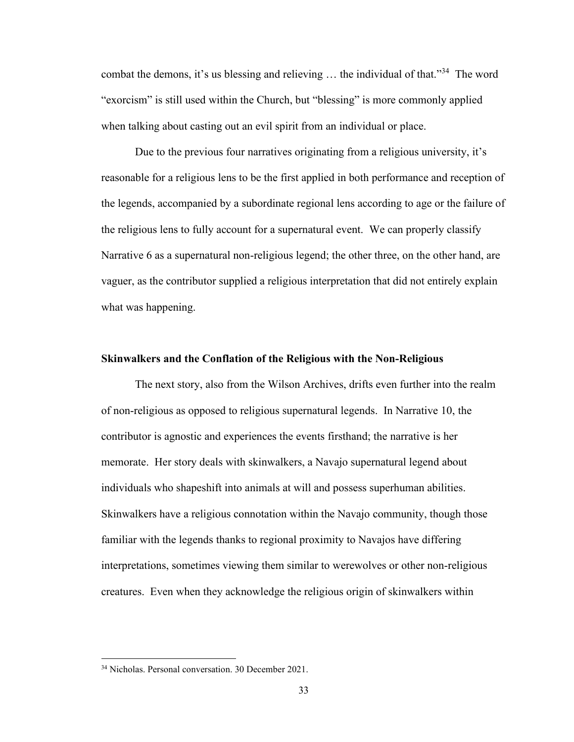combat the demons, it's us blessing and relieving  $\dots$  the individual of that."<sup>34</sup> The word "exorcism" is still used within the Church, but "blessing" is more commonly applied when talking about casting out an evil spirit from an individual or place.

Due to the previous four narratives originating from a religious university, it's reasonable for a religious lens to be the first applied in both performance and reception of the legends, accompanied by a subordinate regional lens according to age or the failure of the religious lens to fully account for a supernatural event. We can properly classify Narrative 6 as a supernatural non-religious legend; the other three, on the other hand, are vaguer, as the contributor supplied a religious interpretation that did not entirely explain what was happening.

#### **Skinwalkers and the Conflation of the Religious with the Non-Religious**

The next story, also from the Wilson Archives, drifts even further into the realm of non-religious as opposed to religious supernatural legends. In Narrative 10, the contributor is agnostic and experiences the events firsthand; the narrative is her memorate. Her story deals with skinwalkers, a Navajo supernatural legend about individuals who shapeshift into animals at will and possess superhuman abilities. Skinwalkers have a religious connotation within the Navajo community, though those familiar with the legends thanks to regional proximity to Navajos have differing interpretations, sometimes viewing them similar to werewolves or other non-religious creatures. Even when they acknowledge the religious origin of skinwalkers within

<sup>34</sup> Nicholas. Personal conversation. 30 December 2021.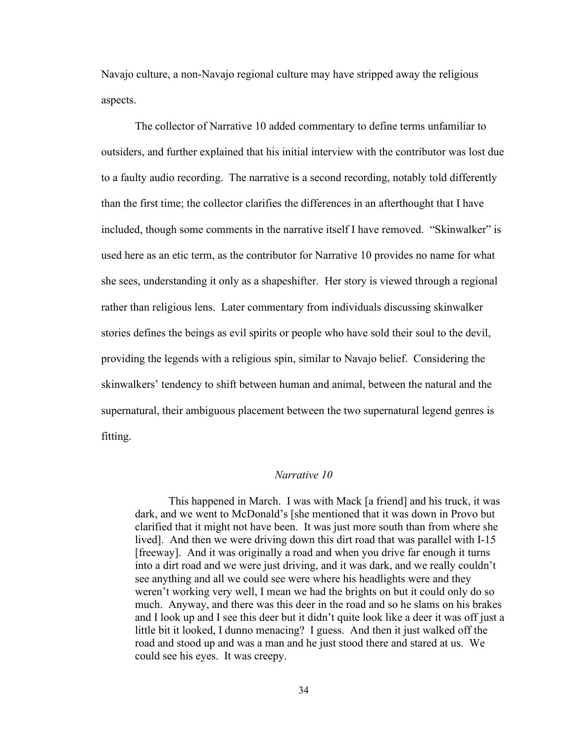Navajo culture, a non-Navajo regional culture may have stripped away the religious aspects.

The collector of Narrative 10 added commentary to define terms unfamiliar to outsiders, and further explained that his initial interview with the contributor was lost due to a faulty audio recording. The narrative is a second recording, notably told differently than the first time; the collector clarifies the differences in an afterthought that I have included, though some comments in the narrative itself I have removed. "Skinwalker" is used here as an etic term, as the contributor for Narrative 10 provides no name for what she sees, understanding it only as a shapeshifter. Her story is viewed through a regional rather than religious lens. Later commentary from individuals discussing skinwalker stories defines the beings as evil spirits or people who have sold their soul to the devil, providing the legends with a religious spin, similar to Navajo belief. Considering the skinwalkers' tendency to shift between human and animal, between the natural and the supernatural, their ambiguous placement between the two supernatural legend genres is fitting.

### *Narrative 10*

This happened in March. I was with Mack [a friend] and his truck, it was dark, and we went to McDonald's [she mentioned that it was down in Provo but clarified that it might not have been. It was just more south than from where she lived]. And then we were driving down this dirt road that was parallel with I-15 [freeway]. And it was originally a road and when you drive far enough it turns into a dirt road and we were just driving, and it was dark, and we really couldn't see anything and all we could see were where his headlights were and they weren't working very well, I mean we had the brights on but it could only do so much. Anyway, and there was this deer in the road and so he slams on his brakes and I look up and I see this deer but it didn't quite look like a deer it was off just a little bit it looked, I dunno menacing? I guess. And then it just walked off the road and stood up and was a man and he just stood there and stared at us. We could see his eyes. It was creepy.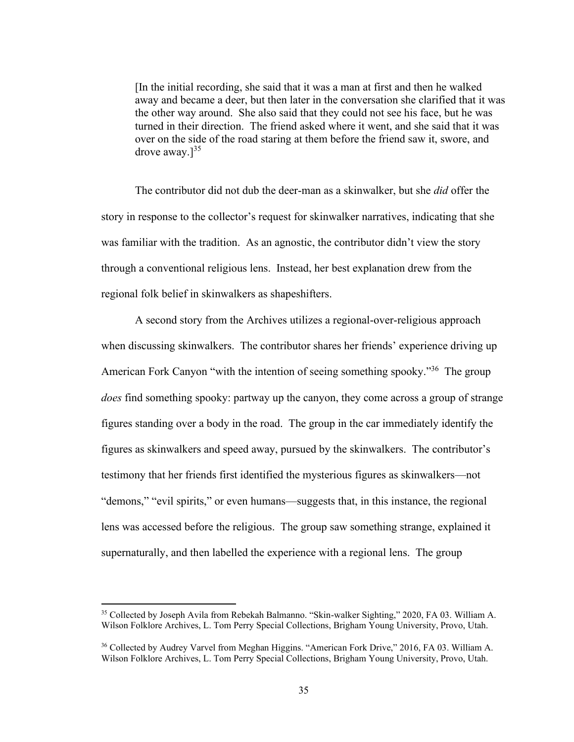[In the initial recording, she said that it was a man at first and then he walked away and became a deer, but then later in the conversation she clarified that it was the other way around. She also said that they could not see his face, but he was turned in their direction. The friend asked where it went, and she said that it was over on the side of the road staring at them before the friend saw it, swore, and drove away. $l^{35}$ 

The contributor did not dub the deer-man as a skinwalker, but she *did* offer the story in response to the collector's request for skinwalker narratives, indicating that she was familiar with the tradition. As an agnostic, the contributor didn't view the story through a conventional religious lens. Instead, her best explanation drew from the regional folk belief in skinwalkers as shapeshifters.

A second story from the Archives utilizes a regional-over-religious approach when discussing skinwalkers. The contributor shares her friends' experience driving up American Fork Canyon "with the intention of seeing something spooky."<sup>36</sup> The group *does* find something spooky: partway up the canyon, they come across a group of strange figures standing over a body in the road. The group in the car immediately identify the figures as skinwalkers and speed away, pursued by the skinwalkers. The contributor's testimony that her friends first identified the mysterious figures as skinwalkers—not "demons," "evil spirits," or even humans—suggests that, in this instance, the regional lens was accessed before the religious. The group saw something strange, explained it supernaturally, and then labelled the experience with a regional lens. The group

<sup>35</sup> Collected by Joseph Avila from Rebekah Balmanno. "Skin-walker Sighting," 2020, FA 03. William A. Wilson Folklore Archives, L. Tom Perry Special Collections, Brigham Young University, Provo, Utah.

<sup>36</sup> Collected by Audrey Varvel from Meghan Higgins. "American Fork Drive," 2016, FA 03. William A. Wilson Folklore Archives, L. Tom Perry Special Collections, Brigham Young University, Provo, Utah.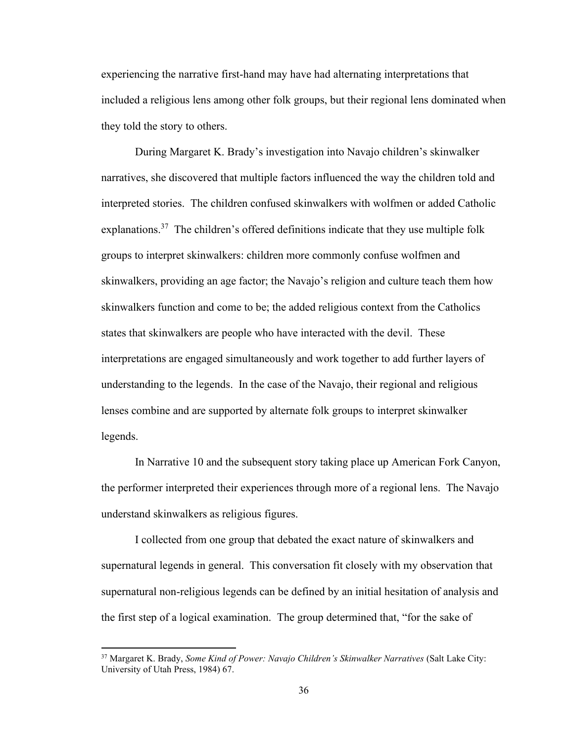experiencing the narrative first-hand may have had alternating interpretations that included a religious lens among other folk groups, but their regional lens dominated when they told the story to others.

During Margaret K. Brady's investigation into Navajo children's skinwalker narratives, she discovered that multiple factors influenced the way the children told and interpreted stories. The children confused skinwalkers with wolfmen or added Catholic explanations.<sup>37</sup> The children's offered definitions indicate that they use multiple folk groups to interpret skinwalkers: children more commonly confuse wolfmen and skinwalkers, providing an age factor; the Navajo's religion and culture teach them how skinwalkers function and come to be; the added religious context from the Catholics states that skinwalkers are people who have interacted with the devil. These interpretations are engaged simultaneously and work together to add further layers of understanding to the legends. In the case of the Navajo, their regional and religious lenses combine and are supported by alternate folk groups to interpret skinwalker legends.

In Narrative 10 and the subsequent story taking place up American Fork Canyon, the performer interpreted their experiences through more of a regional lens. The Navajo understand skinwalkers as religious figures.

I collected from one group that debated the exact nature of skinwalkers and supernatural legends in general. This conversation fit closely with my observation that supernatural non-religious legends can be defined by an initial hesitation of analysis and the first step of a logical examination. The group determined that, "for the sake of

<sup>37</sup> Margaret K. Brady, *Some Kind of Power: Navajo Children's Skinwalker Narratives* (Salt Lake City: University of Utah Press, 1984) 67.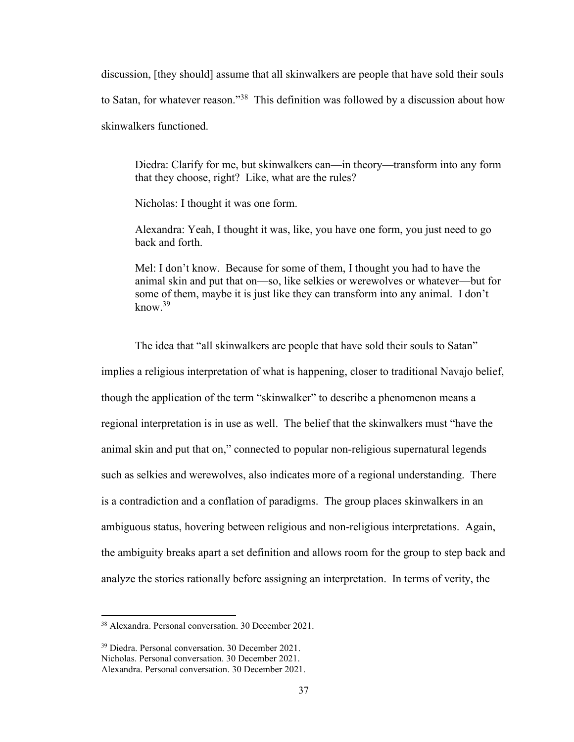discussion, [they should] assume that all skinwalkers are people that have sold their souls to Satan, for whatever reason."<sup>38</sup> This definition was followed by a discussion about how skinwalkers functioned.

Diedra: Clarify for me, but skinwalkers can—in theory—transform into any form that they choose, right? Like, what are the rules?

Nicholas: I thought it was one form.

Alexandra: Yeah, I thought it was, like, you have one form, you just need to go back and forth.

Mel: I don't know. Because for some of them, I thought you had to have the animal skin and put that on—so, like selkies or werewolves or whatever—but for some of them, maybe it is just like they can transform into any animal. I don't  $k$ now.<sup>39</sup>

The idea that "all skinwalkers are people that have sold their souls to Satan" implies a religious interpretation of what is happening, closer to traditional Navajo belief, though the application of the term "skinwalker" to describe a phenomenon means a regional interpretation is in use as well. The belief that the skinwalkers must "have the animal skin and put that on," connected to popular non-religious supernatural legends such as selkies and werewolves, also indicates more of a regional understanding. There is a contradiction and a conflation of paradigms. The group places skinwalkers in an ambiguous status, hovering between religious and non-religious interpretations. Again, the ambiguity breaks apart a set definition and allows room for the group to step back and analyze the stories rationally before assigning an interpretation. In terms of verity, the

<sup>38</sup> Alexandra. Personal conversation. 30 December 2021.

<sup>39</sup> Diedra. Personal conversation. 30 December 2021.

Nicholas. Personal conversation. 30 December 2021.

Alexandra. Personal conversation. 30 December 2021.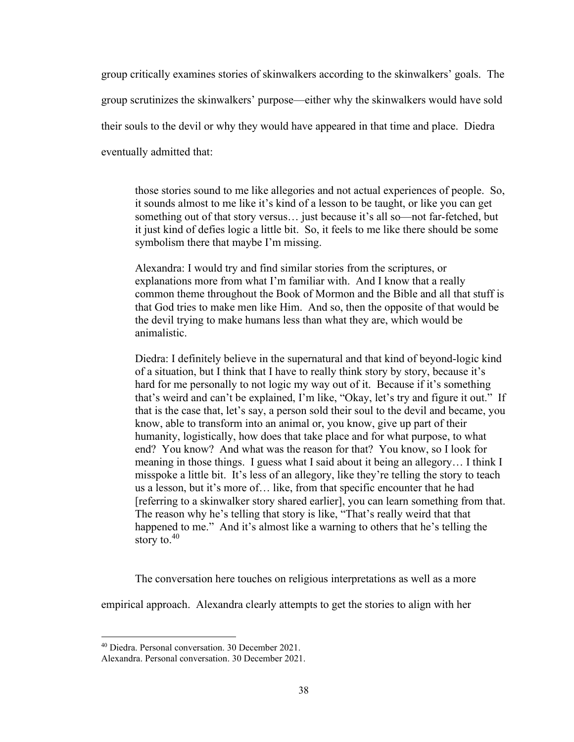group critically examines stories of skinwalkers according to the skinwalkers' goals. The group scrutinizes the skinwalkers' purpose—either why the skinwalkers would have sold their souls to the devil or why they would have appeared in that time and place. Diedra eventually admitted that:

those stories sound to me like allegories and not actual experiences of people. So, it sounds almost to me like it's kind of a lesson to be taught, or like you can get something out of that story versus… just because it's all so—not far-fetched, but it just kind of defies logic a little bit. So, it feels to me like there should be some symbolism there that maybe I'm missing.

Alexandra: I would try and find similar stories from the scriptures, or explanations more from what I'm familiar with. And I know that a really common theme throughout the Book of Mormon and the Bible and all that stuff is that God tries to make men like Him. And so, then the opposite of that would be the devil trying to make humans less than what they are, which would be animalistic.

Diedra: I definitely believe in the supernatural and that kind of beyond-logic kind of a situation, but I think that I have to really think story by story, because it's hard for me personally to not logic my way out of it. Because if it's something that's weird and can't be explained, I'm like, "Okay, let's try and figure it out." If that is the case that, let's say, a person sold their soul to the devil and became, you know, able to transform into an animal or, you know, give up part of their humanity, logistically, how does that take place and for what purpose, to what end? You know? And what was the reason for that? You know, so I look for meaning in those things. I guess what I said about it being an allegory… I think I misspoke a little bit. It's less of an allegory, like they're telling the story to teach us a lesson, but it's more of… like, from that specific encounter that he had [referring to a skinwalker story shared earlier], you can learn something from that. The reason why he's telling that story is like, "That's really weird that that happened to me." And it's almost like a warning to others that he's telling the story to.<sup>40</sup>

The conversation here touches on religious interpretations as well as a more

empirical approach. Alexandra clearly attempts to get the stories to align with her

<sup>40</sup> Diedra. Personal conversation. 30 December 2021.

Alexandra. Personal conversation. 30 December 2021.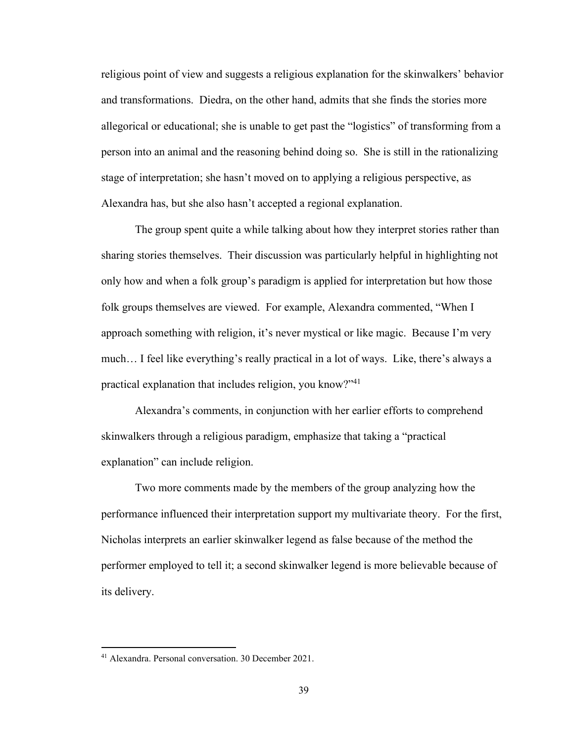religious point of view and suggests a religious explanation for the skinwalkers' behavior and transformations. Diedra, on the other hand, admits that she finds the stories more allegorical or educational; she is unable to get past the "logistics" of transforming from a person into an animal and the reasoning behind doing so. She is still in the rationalizing stage of interpretation; she hasn't moved on to applying a religious perspective, as Alexandra has, but she also hasn't accepted a regional explanation.

The group spent quite a while talking about how they interpret stories rather than sharing stories themselves. Their discussion was particularly helpful in highlighting not only how and when a folk group's paradigm is applied for interpretation but how those folk groups themselves are viewed. For example, Alexandra commented, "When I approach something with religion, it's never mystical or like magic. Because I'm very much… I feel like everything's really practical in a lot of ways. Like, there's always a practical explanation that includes religion, you know?"<sup>41</sup>

Alexandra's comments, in conjunction with her earlier efforts to comprehend skinwalkers through a religious paradigm, emphasize that taking a "practical explanation" can include religion.

Two more comments made by the members of the group analyzing how the performance influenced their interpretation support my multivariate theory. For the first, Nicholas interprets an earlier skinwalker legend as false because of the method the performer employed to tell it; a second skinwalker legend is more believable because of its delivery.

<sup>41</sup> Alexandra. Personal conversation. 30 December 2021.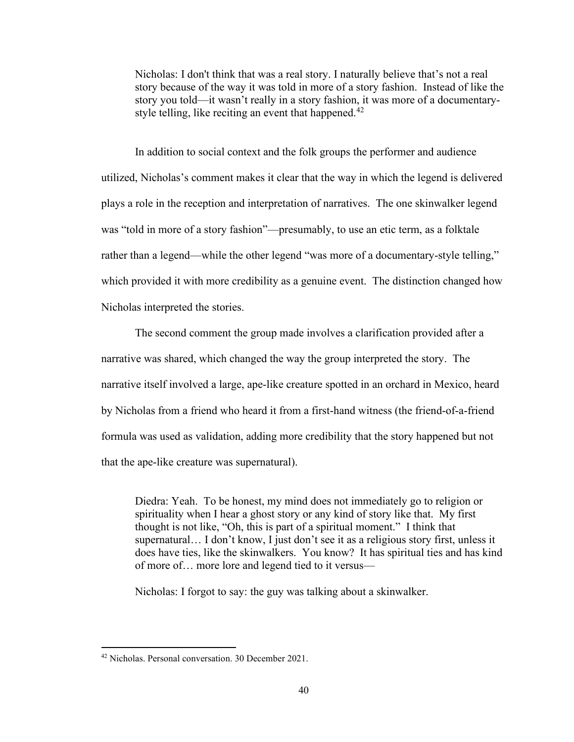Nicholas: I don't think that was a real story. I naturally believe that's not a real story because of the way it was told in more of a story fashion. Instead of like the story you told—it wasn't really in a story fashion, it was more of a documentarystyle telling, like reciting an event that happened.<sup>42</sup>

In addition to social context and the folk groups the performer and audience utilized, Nicholas's comment makes it clear that the way in which the legend is delivered plays a role in the reception and interpretation of narratives. The one skinwalker legend was "told in more of a story fashion"—presumably, to use an etic term, as a folktale rather than a legend—while the other legend "was more of a documentary-style telling," which provided it with more credibility as a genuine event. The distinction changed how Nicholas interpreted the stories.

The second comment the group made involves a clarification provided after a narrative was shared, which changed the way the group interpreted the story. The narrative itself involved a large, ape-like creature spotted in an orchard in Mexico, heard by Nicholas from a friend who heard it from a first-hand witness (the friend-of-a-friend formula was used as validation, adding more credibility that the story happened but not that the ape-like creature was supernatural).

Diedra: Yeah. To be honest, my mind does not immediately go to religion or spirituality when I hear a ghost story or any kind of story like that. My first thought is not like, "Oh, this is part of a spiritual moment." I think that supernatural… I don't know, I just don't see it as a religious story first, unless it does have ties, like the skinwalkers. You know? It has spiritual ties and has kind of more of… more lore and legend tied to it versus—

Nicholas: I forgot to say: the guy was talking about a skinwalker.

<sup>42</sup> Nicholas. Personal conversation. 30 December 2021.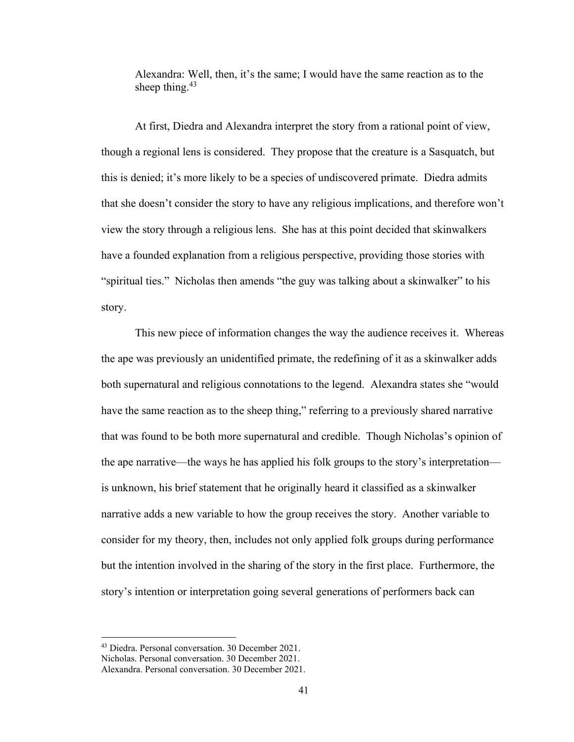Alexandra: Well, then, it's the same; I would have the same reaction as to the sheep thing. $43$ 

At first, Diedra and Alexandra interpret the story from a rational point of view, though a regional lens is considered. They propose that the creature is a Sasquatch, but this is denied; it's more likely to be a species of undiscovered primate. Diedra admits that she doesn't consider the story to have any religious implications, and therefore won't view the story through a religious lens. She has at this point decided that skinwalkers have a founded explanation from a religious perspective, providing those stories with "spiritual ties." Nicholas then amends "the guy was talking about a skinwalker" to his story.

This new piece of information changes the way the audience receives it. Whereas the ape was previously an unidentified primate, the redefining of it as a skinwalker adds both supernatural and religious connotations to the legend. Alexandra states she "would have the same reaction as to the sheep thing," referring to a previously shared narrative that was found to be both more supernatural and credible. Though Nicholas's opinion of the ape narrative—the ways he has applied his folk groups to the story's interpretation is unknown, his brief statement that he originally heard it classified as a skinwalker narrative adds a new variable to how the group receives the story. Another variable to consider for my theory, then, includes not only applied folk groups during performance but the intention involved in the sharing of the story in the first place. Furthermore, the story's intention or interpretation going several generations of performers back can

<sup>43</sup> Diedra. Personal conversation. 30 December 2021.

Nicholas. Personal conversation. 30 December 2021.

Alexandra. Personal conversation. 30 December 2021.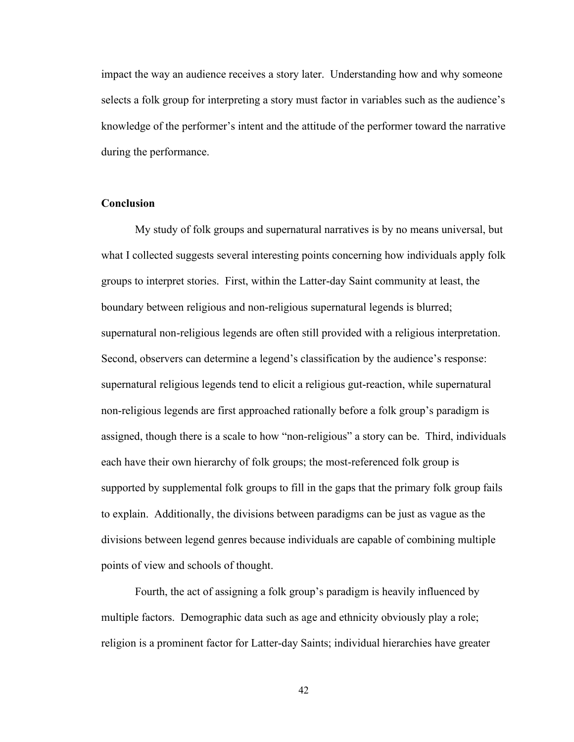impact the way an audience receives a story later. Understanding how and why someone selects a folk group for interpreting a story must factor in variables such as the audience's knowledge of the performer's intent and the attitude of the performer toward the narrative during the performance.

#### **Conclusion**

My study of folk groups and supernatural narratives is by no means universal, but what I collected suggests several interesting points concerning how individuals apply folk groups to interpret stories. First, within the Latter-day Saint community at least, the boundary between religious and non-religious supernatural legends is blurred; supernatural non-religious legends are often still provided with a religious interpretation. Second, observers can determine a legend's classification by the audience's response: supernatural religious legends tend to elicit a religious gut-reaction, while supernatural non-religious legends are first approached rationally before a folk group's paradigm is assigned, though there is a scale to how "non-religious" a story can be. Third, individuals each have their own hierarchy of folk groups; the most-referenced folk group is supported by supplemental folk groups to fill in the gaps that the primary folk group fails to explain. Additionally, the divisions between paradigms can be just as vague as the divisions between legend genres because individuals are capable of combining multiple points of view and schools of thought.

Fourth, the act of assigning a folk group's paradigm is heavily influenced by multiple factors. Demographic data such as age and ethnicity obviously play a role; religion is a prominent factor for Latter-day Saints; individual hierarchies have greater

42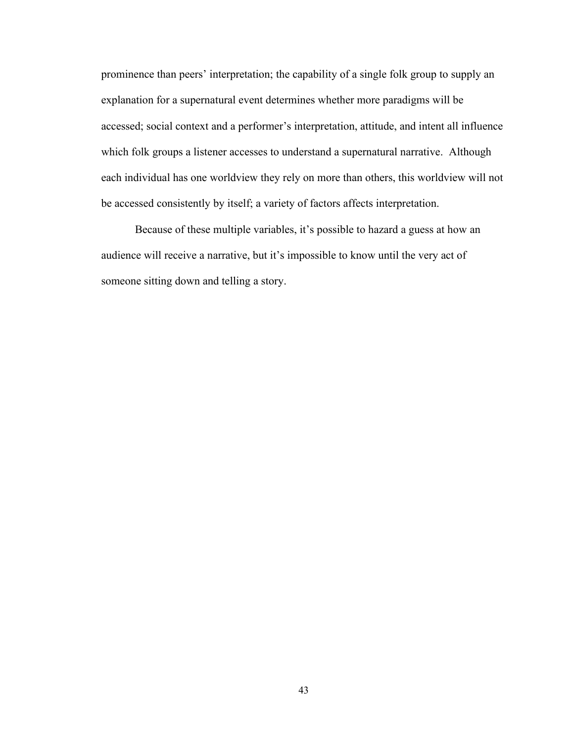prominence than peers' interpretation; the capability of a single folk group to supply an explanation for a supernatural event determines whether more paradigms will be accessed; social context and a performer's interpretation, attitude, and intent all influence which folk groups a listener accesses to understand a supernatural narrative. Although each individual has one worldview they rely on more than others, this worldview will not be accessed consistently by itself; a variety of factors affects interpretation.

Because of these multiple variables, it's possible to hazard a guess at how an audience will receive a narrative, but it's impossible to know until the very act of someone sitting down and telling a story.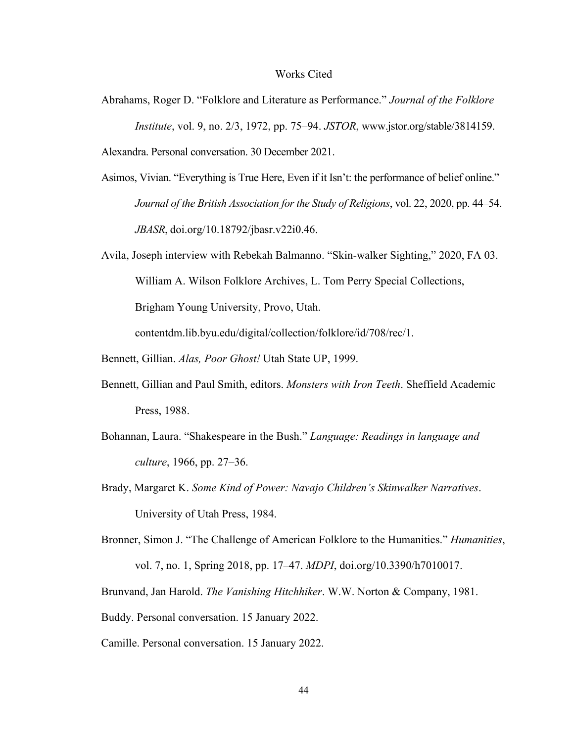#### Works Cited

- Abrahams, Roger D. "Folklore and Literature as Performance." *Journal of the Folklore Institute*, vol. 9, no. 2/3, 1972, pp. 75–94. *JSTOR*, www.jstor.org/stable/3814159. Alexandra. Personal conversation. 30 December 2021.
- Asimos, Vivian. "Everything is True Here, Even if it Isn't: the performance of belief online." *Journal of the British Association for the Study of Religions*, vol. 22, 2020, pp. 44–54. *JBASR*, doi.org/10.18792/jbasr.v22i0.46.
- Avila, Joseph interview with Rebekah Balmanno. "Skin-walker Sighting," 2020, FA 03. William A. Wilson Folklore Archives, L. Tom Perry Special Collections, Brigham Young University, Provo, Utah. contentdm.lib.byu.edu/digital/collection/folklore/id/708/rec/1.
- Bennett, Gillian. *Alas, Poor Ghost!* Utah State UP, 1999.
- Bennett, Gillian and Paul Smith, editors. *Monsters with Iron Teeth*. Sheffield Academic Press, 1988.
- Bohannan, Laura. "Shakespeare in the Bush." *Language: Readings in language and culture*, 1966, pp. 27–36.
- Brady, Margaret K. *Some Kind of Power: Navajo Children's Skinwalker Narratives*. University of Utah Press, 1984.
- Bronner, Simon J. "The Challenge of American Folklore to the Humanities." *Humanities*, vol. 7, no. 1, Spring 2018, pp. 17–47. *MDPI*, doi.org/10.3390/h7010017.
- Brunvand, Jan Harold. *The Vanishing Hitchhiker*. W.W. Norton & Company, 1981.
- Buddy. Personal conversation. 15 January 2022.
- Camille. Personal conversation. 15 January 2022.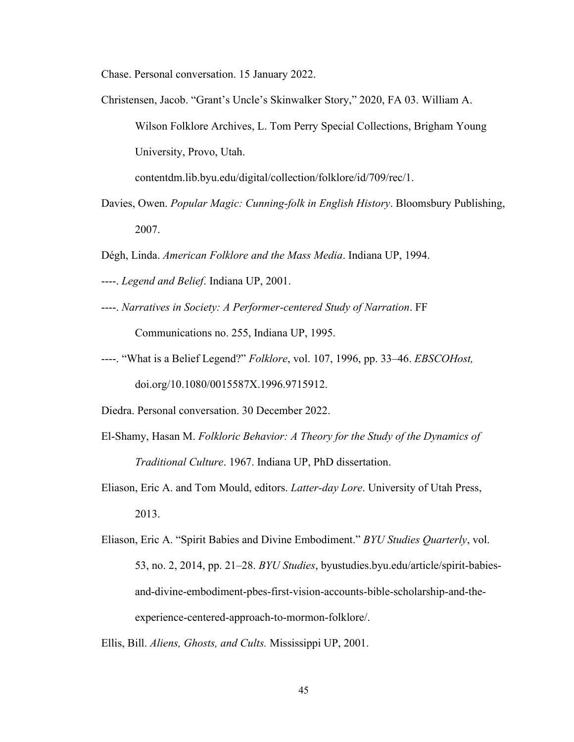Chase. Personal conversation. 15 January 2022.

- Christensen, Jacob. "Grant's Uncle's Skinwalker Story," 2020, FA 03. William A. Wilson Folklore Archives, L. Tom Perry Special Collections, Brigham Young University, Provo, Utah. contentdm.lib.byu.edu/digital/collection/folklore/id/709/rec/1.
- Davies, Owen. *Popular Magic: Cunning-folk in English History*. Bloomsbury Publishing,

2007.

- Dégh, Linda. *American Folklore and the Mass Media*. Indiana UP, 1994.
- ----. *Legend and Belief*. Indiana UP, 2001.
- ----. *Narratives in Society: A Performer-centered Study of Narration*. FF Communications no. 255, Indiana UP, 1995.
- ----. "What is a Belief Legend?" *Folklore*, vol. 107, 1996, pp. 33–46. *EBSCOHost,* doi.org/10.1080/0015587X.1996.9715912.
- Diedra. Personal conversation. 30 December 2022.
- El-Shamy, Hasan M. *Folkloric Behavior: A Theory for the Study of the Dynamics of Traditional Culture*. 1967. Indiana UP, PhD dissertation.
- Eliason, Eric A. and Tom Mould, editors. *Latter-day Lore*. University of Utah Press, 2013.
- Eliason, Eric A. "Spirit Babies and Divine Embodiment." *BYU Studies Quarterly*, vol. 53, no. 2, 2014, pp. 21–28. *BYU Studies*, byustudies.byu.edu/article/spirit-babiesand-divine-embodiment-pbes-first-vision-accounts-bible-scholarship-and-theexperience-centered-approach-to-mormon-folklore/.
- Ellis, Bill. *Aliens, Ghosts, and Cults.* Mississippi UP, 2001.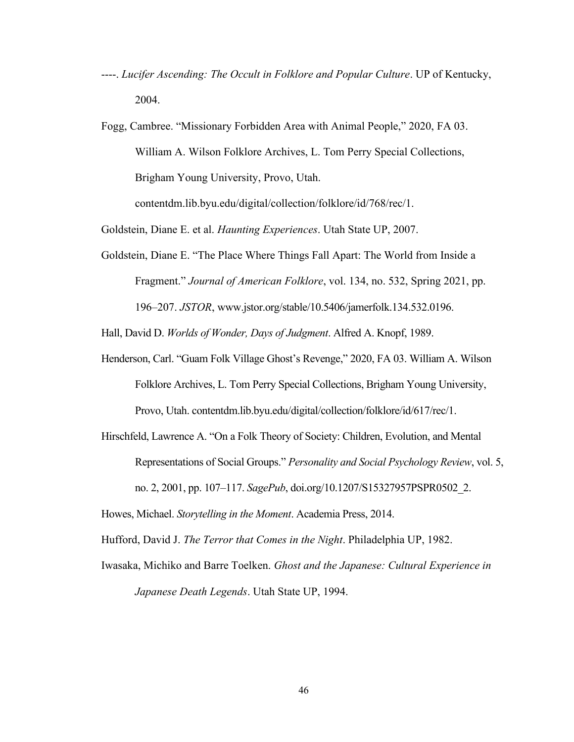- ----. *Lucifer Ascending: The Occult in Folklore and Popular Culture*. UP of Kentucky, 2004.
- Fogg, Cambree. "Missionary Forbidden Area with Animal People," 2020, FA 03. William A. Wilson Folklore Archives, L. Tom Perry Special Collections, Brigham Young University, Provo, Utah.

contentdm.lib.byu.edu/digital/collection/folklore/id/768/rec/1.

Goldstein, Diane E. et al. *Haunting Experiences*. Utah State UP, 2007.

Goldstein, Diane E. "The Place Where Things Fall Apart: The World from Inside a Fragment." *Journal of American Folklore*, vol. 134, no. 532, Spring 2021, pp. 196–207. *JSTOR*, www.jstor.org/stable/10.5406/jamerfolk.134.532.0196.

Hall, David D. *Worlds of Wonder, Days of Judgment*. Alfred A. Knopf, 1989.

- Henderson, Carl. "Guam Folk Village Ghost's Revenge," 2020, FA 03. William A. Wilson Folklore Archives, L. Tom Perry Special Collections, Brigham Young University, Provo, Utah. contentdm.lib.byu.edu/digital/collection/folklore/id/617/rec/1.
- Hirschfeld, Lawrence A. "On a Folk Theory of Society: Children, Evolution, and Mental Representations of Social Groups." *Personality and Social Psychology Review*, vol. 5, no. 2, 2001, pp. 107–117. *SagePub*, doi.org/10.1207/S15327957PSPR0502\_2.

Howes, Michael. *Storytelling in the Moment*. Academia Press, 2014.

Hufford, David J. *The Terror that Comes in the Night*. Philadelphia UP, 1982.

Iwasaka, Michiko and Barre Toelken. *Ghost and the Japanese: Cultural Experience in Japanese Death Legends*. Utah State UP, 1994.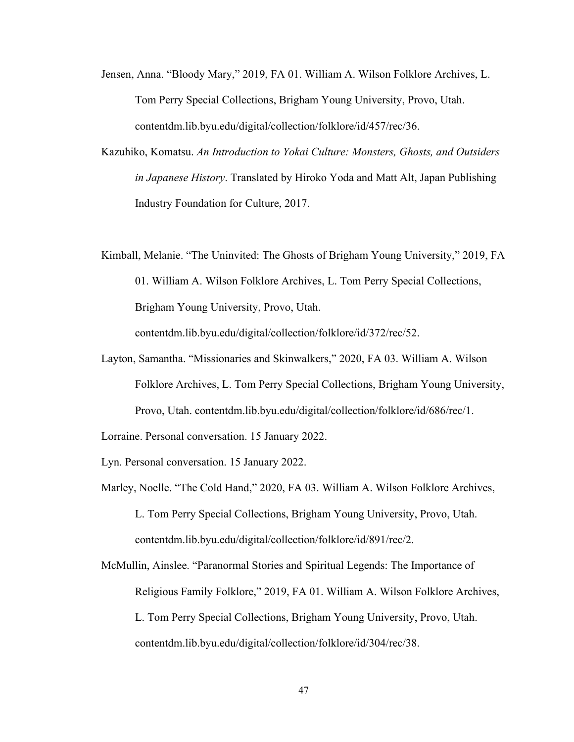- Jensen, Anna. "Bloody Mary," 2019, FA 01. William A. Wilson Folklore Archives, L. Tom Perry Special Collections, Brigham Young University, Provo, Utah. contentdm.lib.byu.edu/digital/collection/folklore/id/457/rec/36.
- Kazuhiko, Komatsu. *An Introduction to Yokai Culture: Monsters, Ghosts, and Outsiders in Japanese History*. Translated by Hiroko Yoda and Matt Alt, Japan Publishing Industry Foundation for Culture, 2017.
- Kimball, Melanie. "The Uninvited: The Ghosts of Brigham Young University," 2019, FA 01. William A. Wilson Folklore Archives, L. Tom Perry Special Collections, Brigham Young University, Provo, Utah.

contentdm.lib.byu.edu/digital/collection/folklore/id/372/rec/52.

Layton, Samantha. "Missionaries and Skinwalkers," 2020, FA 03. William A. Wilson Folklore Archives, L. Tom Perry Special Collections, Brigham Young University, Provo, Utah. contentdm.lib.byu.edu/digital/collection/folklore/id/686/rec/1.

Lorraine. Personal conversation. 15 January 2022.

Lyn. Personal conversation. 15 January 2022.

Marley, Noelle. "The Cold Hand," 2020, FA 03. William A. Wilson Folklore Archives, L. Tom Perry Special Collections, Brigham Young University, Provo, Utah. contentdm.lib.byu.edu/digital/collection/folklore/id/891/rec/2.

McMullin, Ainslee. "Paranormal Stories and Spiritual Legends: The Importance of Religious Family Folklore," 2019, FA 01. William A. Wilson Folklore Archives, L. Tom Perry Special Collections, Brigham Young University, Provo, Utah. contentdm.lib.byu.edu/digital/collection/folklore/id/304/rec/38.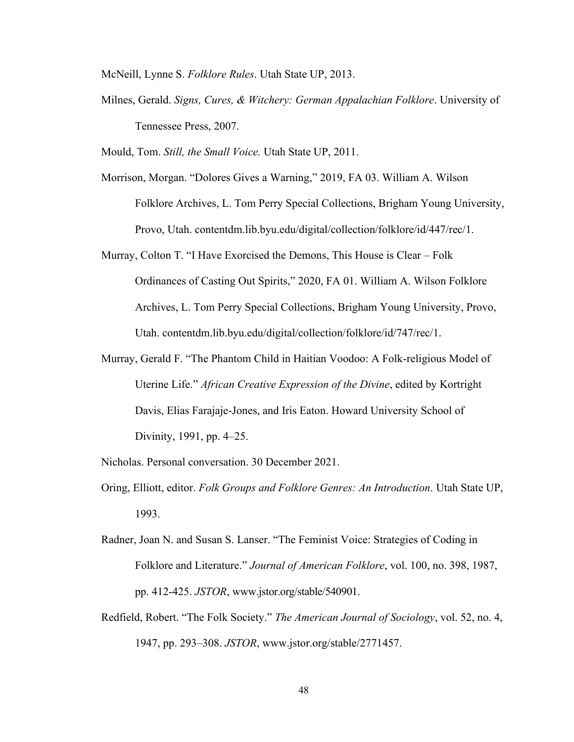McNeill, Lynne S. *Folklore Rules*. Utah State UP, 2013.

Milnes, Gerald. *Signs, Cures, & Witchery: German Appalachian Folklore*. University of Tennessee Press, 2007.

Mould, Tom. *Still, the Small Voice.* Utah State UP, 2011.

- Morrison, Morgan. "Dolores Gives a Warning," 2019, FA 03. William A. Wilson Folklore Archives, L. Tom Perry Special Collections, Brigham Young University, Provo, Utah. contentdm.lib.byu.edu/digital/collection/folklore/id/447/rec/1.
- Murray, Colton T. "I Have Exorcised the Demons, This House is Clear Folk Ordinances of Casting Out Spirits," 2020, FA 01. William A. Wilson Folklore Archives, L. Tom Perry Special Collections, Brigham Young University, Provo, Utah. contentdm.lib.byu.edu/digital/collection/folklore/id/747/rec/1.
- Murray, Gerald F. "The Phantom Child in Haitian Voodoo: A Folk-religious Model of Uterine Life." *African Creative Expression of the Divine*, edited by Kortright Davis, Elias Farajaje-Jones, and Iris Eaton. Howard University School of Divinity, 1991, pp. 4–25.

Nicholas. Personal conversation. 30 December 2021.

- Oring, Elliott, editor. *Folk Groups and Folklore Genres: An Introduction*. Utah State UP, 1993.
- Radner, Joan N. and Susan S. Lanser. "The Feminist Voice: Strategies of Coding in Folklore and Literature." *Journal of American Folklore*, vol. 100, no. 398, 1987, pp. 412-425. *JSTOR*, www.jstor.org/stable/540901.
- Redfield, Robert. "The Folk Society." *The American Journal of Sociology*, vol. 52, no. 4, 1947, pp. 293–308. *JSTOR*, www.jstor.org/stable/2771457.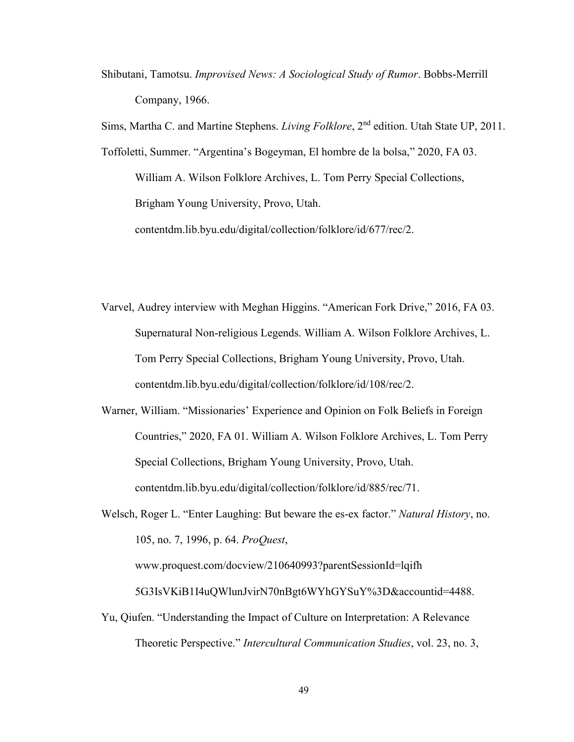Shibutani, Tamotsu. *Improvised News: A Sociological Study of Rumor*. Bobbs-Merrill Company, 1966.

Sims, Martha C. and Martine Stephens. *Living Folklore*, 2nd edition. Utah State UP, 2011.

Toffoletti, Summer. "Argentina's Bogeyman, El hombre de la bolsa," 2020, FA 03. William A. Wilson Folklore Archives, L. Tom Perry Special Collections, Brigham Young University, Provo, Utah. contentdm.lib.byu.edu/digital/collection/folklore/id/677/rec/2.

- Varvel, Audrey interview with Meghan Higgins. "American Fork Drive," 2016, FA 03. Supernatural Non-religious Legends. William A. Wilson Folklore Archives, L. Tom Perry Special Collections, Brigham Young University, Provo, Utah. contentdm.lib.byu.edu/digital/collection/folklore/id/108/rec/2.
- Warner, William. "Missionaries' Experience and Opinion on Folk Beliefs in Foreign Countries," 2020, FA 01. William A. Wilson Folklore Archives, L. Tom Perry Special Collections, Brigham Young University, Provo, Utah. contentdm.lib.byu.edu/digital/collection/folklore/id/885/rec/71.

Welsch, Roger L. "Enter Laughing: But beware the es-ex factor." *Natural History*, no. 105, no. 7, 1996, p. 64. *ProQuest*,

www.proquest.com/docview/210640993?parentSessionId=lqifh

5G3IsVKiB1I4uQWlunJvirN70nBgt6WYhGYSuY%3D&accountid=4488.

Yu, Qiufen. "Understanding the Impact of Culture on Interpretation: A Relevance Theoretic Perspective." *Intercultural Communication Studies*, vol. 23, no. 3,